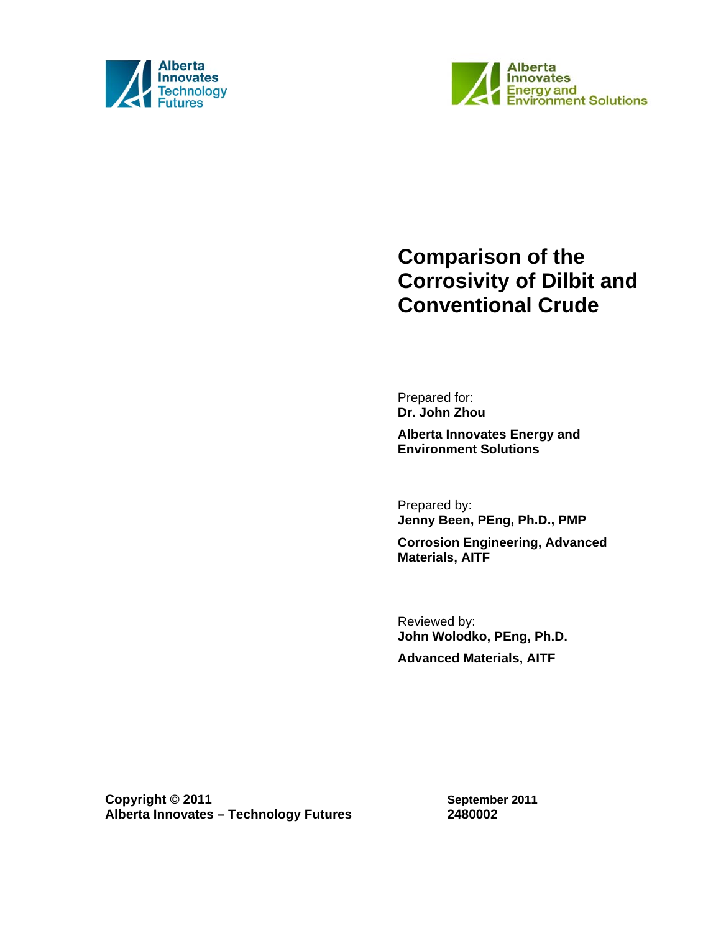



# **Comparison of the Corrosivity of Dilbit and Conventional Crude**

Prepared for: **Dr. John Zhou** 

**Alberta Innovates Energy and Environment Solutions** 

Prepared by: **Jenny Been, PEng, Ph.D., PMP** 

**Corrosion Engineering, Advanced Materials, AITF** 

Reviewed by: **John Wolodko, PEng, Ph.D. Advanced Materials, AITF** 

**Copyright © 2011 Alberta Innovates – Technology Futures**

**September 2011 2480002**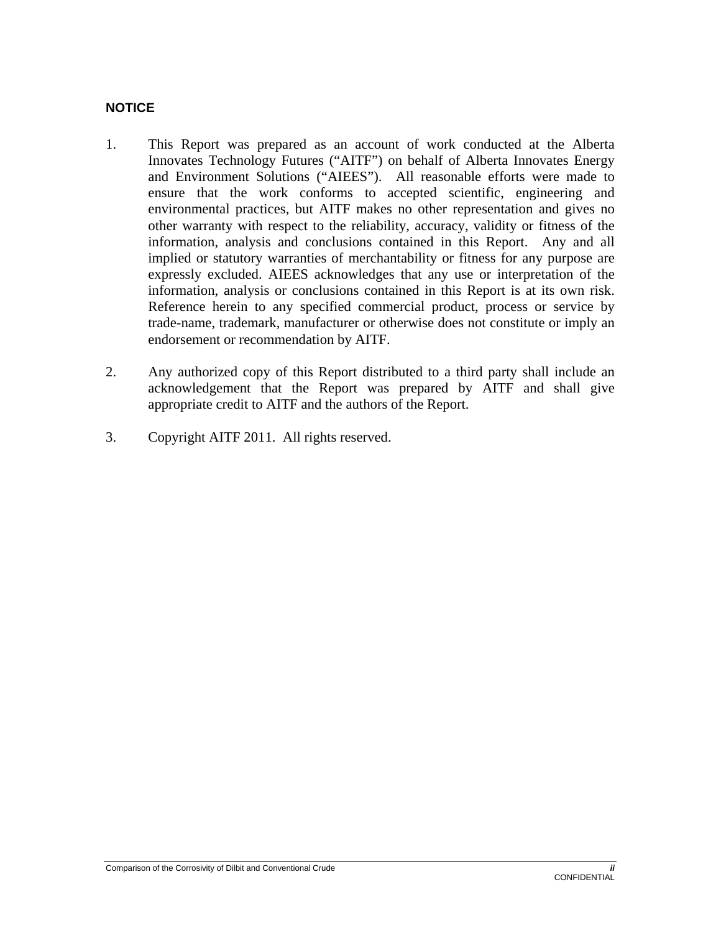#### **NOTICE**

- 1. This Report was prepared as an account of work conducted at the Alberta Innovates Technology Futures ("AITF") on behalf of Alberta Innovates Energy and Environment Solutions ("AIEES"). All reasonable efforts were made to ensure that the work conforms to accepted scientific, engineering and environmental practices, but AITF makes no other representation and gives no other warranty with respect to the reliability, accuracy, validity or fitness of the information, analysis and conclusions contained in this Report. Any and all implied or statutory warranties of merchantability or fitness for any purpose are expressly excluded. AIEES acknowledges that any use or interpretation of the information, analysis or conclusions contained in this Report is at its own risk. Reference herein to any specified commercial product, process or service by trade-name, trademark, manufacturer or otherwise does not constitute or imply an endorsement or recommendation by AITF.
- 2. Any authorized copy of this Report distributed to a third party shall include an acknowledgement that the Report was prepared by AITF and shall give appropriate credit to AITF and the authors of the Report.
- 3. Copyright AITF 2011. All rights reserved.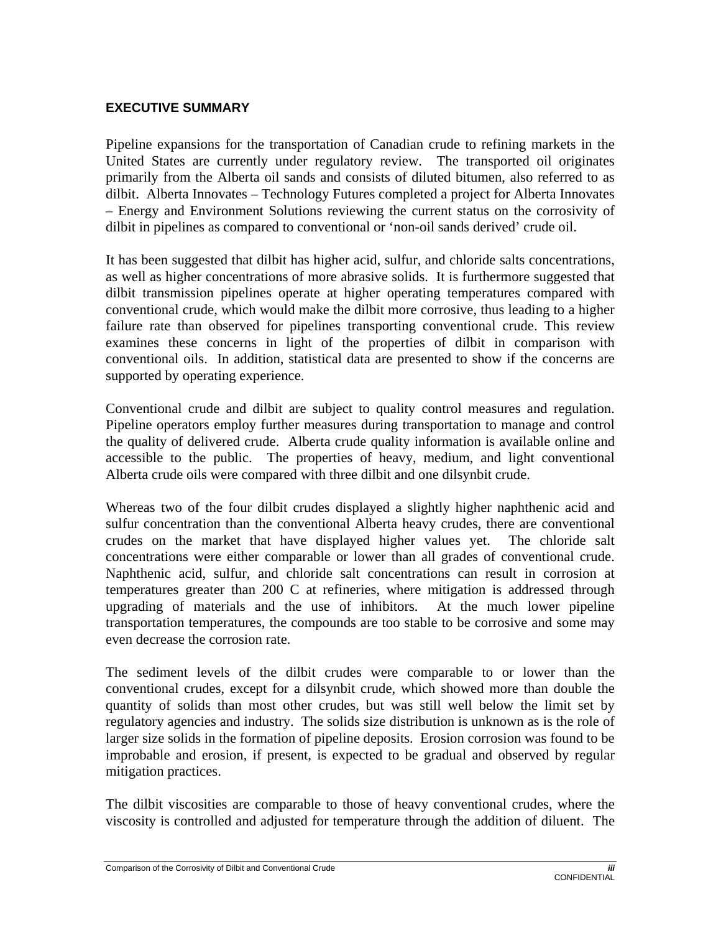#### **EXECUTIVE SUMMARY**

Pipeline expansions for the transportation of Canadian crude to refining markets in the United States are currently under regulatory review. The transported oil originates primarily from the Alberta oil sands and consists of diluted bitumen, also referred to as dilbit. Alberta Innovates – Technology Futures completed a project for Alberta Innovates – Energy and Environment Solutions reviewing the current status on the corrosivity of dilbit in pipelines as compared to conventional or 'non-oil sands derived' crude oil.

It has been suggested that dilbit has higher acid, sulfur, and chloride salts concentrations, as well as higher concentrations of more abrasive solids. It is furthermore suggested that dilbit transmission pipelines operate at higher operating temperatures compared with conventional crude, which would make the dilbit more corrosive, thus leading to a higher failure rate than observed for pipelines transporting conventional crude. This review examines these concerns in light of the properties of dilbit in comparison with conventional oils. In addition, statistical data are presented to show if the concerns are supported by operating experience.

Conventional crude and dilbit are subject to quality control measures and regulation. Pipeline operators employ further measures during transportation to manage and control the quality of delivered crude. Alberta crude quality information is available online and accessible to the public. The properties of heavy, medium, and light conventional Alberta crude oils were compared with three dilbit and one dilsynbit crude.

Whereas two of the four dilbit crudes displayed a slightly higher naphthenic acid and sulfur concentration than the conventional Alberta heavy crudes, there are conventional crudes on the market that have displayed higher values yet. The chloride salt concentrations were either comparable or lower than all grades of conventional crude. Naphthenic acid, sulfur, and chloride salt concentrations can result in corrosion at temperatures greater than 200 C at refineries, where mitigation is addressed through upgrading of materials and the use of inhibitors. At the much lower pipeline transportation temperatures, the compounds are too stable to be corrosive and some may even decrease the corrosion rate.

The sediment levels of the dilbit crudes were comparable to or lower than the conventional crudes, except for a dilsynbit crude, which showed more than double the quantity of solids than most other crudes, but was still well below the limit set by regulatory agencies and industry. The solids size distribution is unknown as is the role of larger size solids in the formation of pipeline deposits. Erosion corrosion was found to be improbable and erosion, if present, is expected to be gradual and observed by regular mitigation practices.

The dilbit viscosities are comparable to those of heavy conventional crudes, where the viscosity is controlled and adjusted for temperature through the addition of diluent. The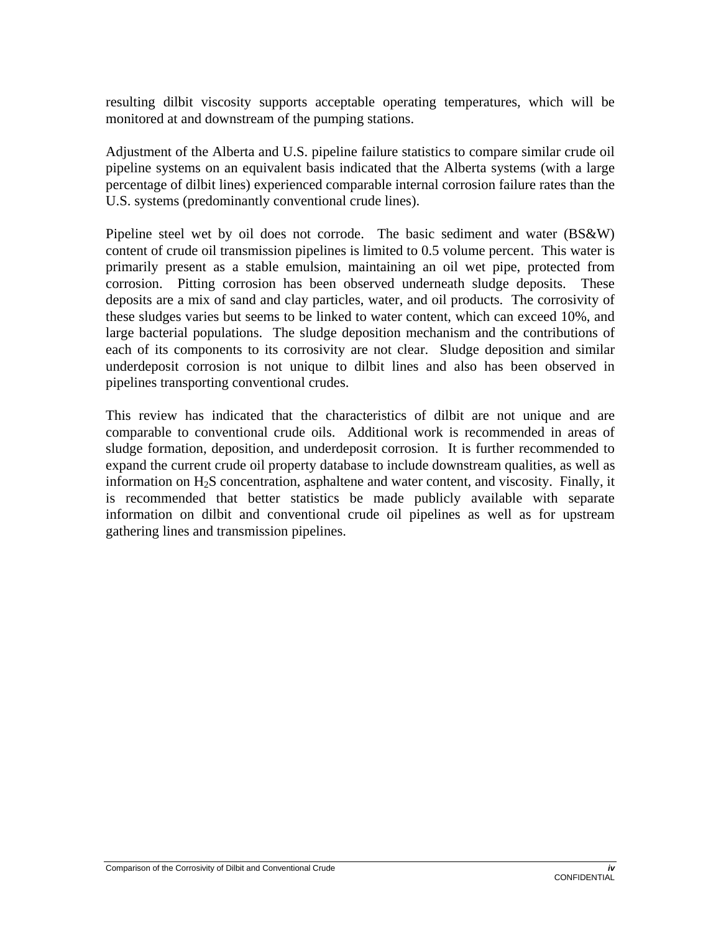resulting dilbit viscosity supports acceptable operating temperatures, which will be monitored at and downstream of the pumping stations.

Adjustment of the Alberta and U.S. pipeline failure statistics to compare similar crude oil pipeline systems on an equivalent basis indicated that the Alberta systems (with a large percentage of dilbit lines) experienced comparable internal corrosion failure rates than the U.S. systems (predominantly conventional crude lines).

Pipeline steel wet by oil does not corrode. The basic sediment and water (BS&W) content of crude oil transmission pipelines is limited to 0.5 volume percent. This water is primarily present as a stable emulsion, maintaining an oil wet pipe, protected from corrosion. Pitting corrosion has been observed underneath sludge deposits. These deposits are a mix of sand and clay particles, water, and oil products. The corrosivity of these sludges varies but seems to be linked to water content, which can exceed 10%, and large bacterial populations. The sludge deposition mechanism and the contributions of each of its components to its corrosivity are not clear. Sludge deposition and similar underdeposit corrosion is not unique to dilbit lines and also has been observed in pipelines transporting conventional crudes.

This review has indicated that the characteristics of dilbit are not unique and are comparable to conventional crude oils. Additional work is recommended in areas of sludge formation, deposition, and underdeposit corrosion. It is further recommended to expand the current crude oil property database to include downstream qualities, as well as information on  $H_2S$  concentration, asphaltene and water content, and viscosity. Finally, it is recommended that better statistics be made publicly available with separate information on dilbit and conventional crude oil pipelines as well as for upstream gathering lines and transmission pipelines.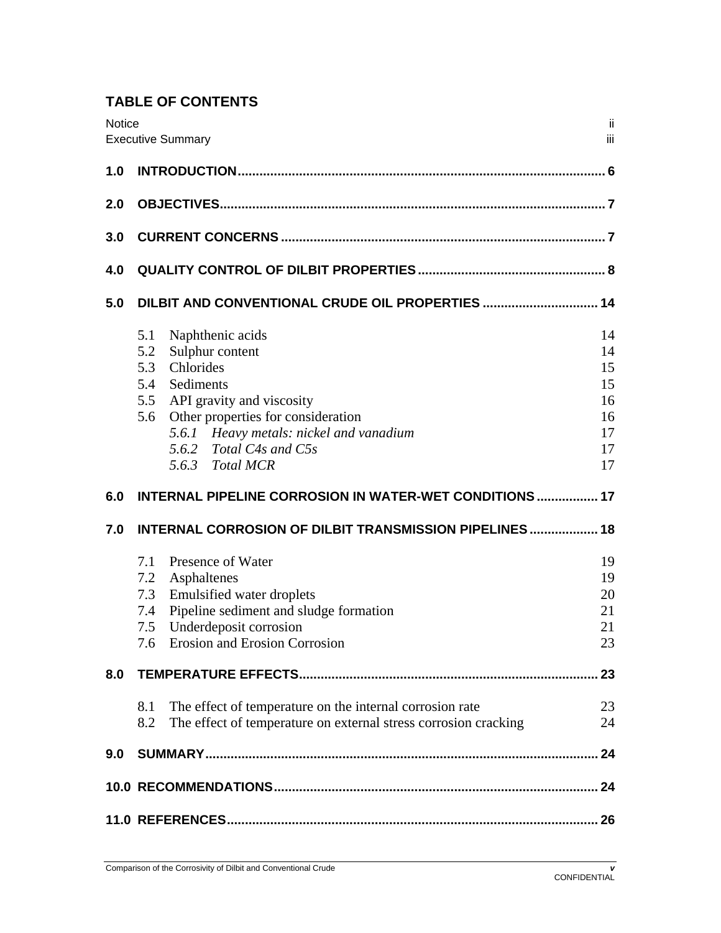# **TABLE OF CONTENTS**

| Notice | <b>Executive Summary</b>                                                                                                                  | jj.<br>iii |  |
|--------|-------------------------------------------------------------------------------------------------------------------------------------------|------------|--|
| 1.0    |                                                                                                                                           |            |  |
| 2.0    |                                                                                                                                           |            |  |
| 3.0    |                                                                                                                                           |            |  |
| 4.0    |                                                                                                                                           |            |  |
| 5.0    | DILBIT AND CONVENTIONAL CRUDE OIL PROPERTIES  14                                                                                          |            |  |
|        | Naphthenic acids<br>5.1                                                                                                                   | 14         |  |
|        | Sulphur content<br>5.2                                                                                                                    | 14         |  |
|        | 5.3<br>Chlorides                                                                                                                          | 15         |  |
|        | 5.4<br>Sediments                                                                                                                          | 15         |  |
|        | API gravity and viscosity<br>5.5                                                                                                          | 16         |  |
|        | Other properties for consideration<br>5.6                                                                                                 | 16         |  |
|        | 5.6.1 Heavy metals: nickel and vanadium                                                                                                   | 17         |  |
|        | 5.6.2 Total C4s and C5s                                                                                                                   | 17         |  |
|        | 5.6.3 Total MCR                                                                                                                           | 17         |  |
|        |                                                                                                                                           |            |  |
| 6.0    | <b>INTERNAL PIPELINE CORROSION IN WATER-WET CONDITIONS  17</b>                                                                            |            |  |
| 7.0    | <b>INTERNAL CORROSION OF DILBIT TRANSMISSION PIPELINES  18</b>                                                                            |            |  |
|        | 7.1<br>Presence of Water                                                                                                                  | 19         |  |
|        | 7.2 Asphaltenes                                                                                                                           | 19         |  |
|        | 7.3 Emulsified water droplets                                                                                                             | 20         |  |
|        | 7.4 Pipeline sediment and sludge formation                                                                                                | 21         |  |
|        | Underdeposit corrosion<br>7.5                                                                                                             | 21         |  |
|        | 7.6 Erosion and Erosion Corrosion                                                                                                         | 23         |  |
| 8.0    |                                                                                                                                           | 23         |  |
|        |                                                                                                                                           |            |  |
|        | The effect of temperature on the internal corrosion rate<br>8.1<br>The effect of temperature on external stress corrosion cracking<br>8.2 | 23<br>24   |  |
| 9.0    |                                                                                                                                           |            |  |
|        |                                                                                                                                           |            |  |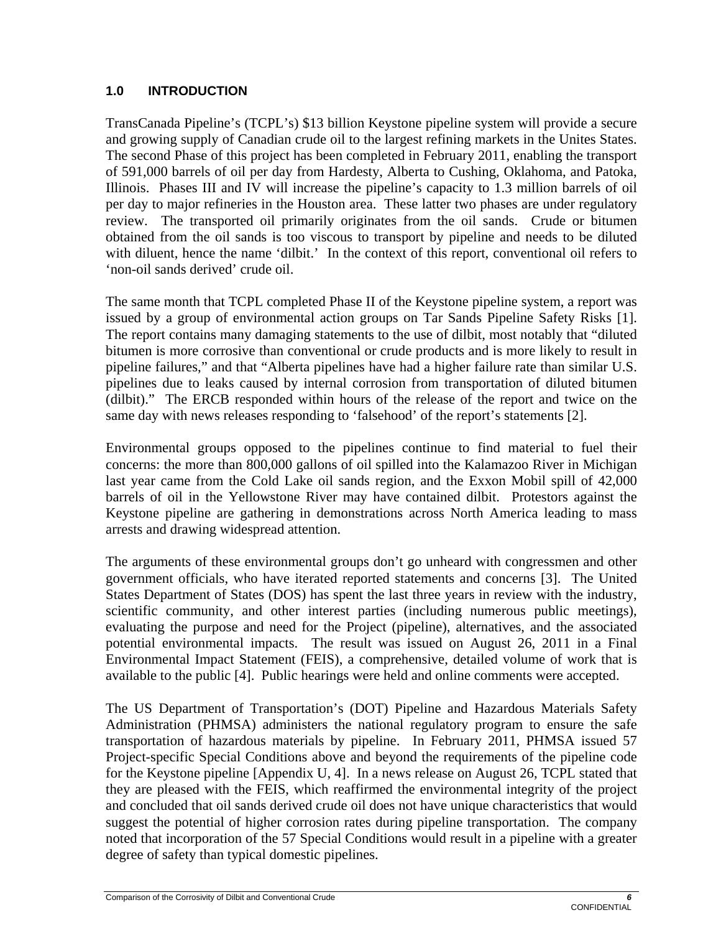## **1.0 INTRODUCTION**

TransCanada Pipeline's (TCPL's) \$13 billion Keystone pipeline system will provide a secure and growing supply of Canadian crude oil to the largest refining markets in the Unites States. The second Phase of this project has been completed in February 2011, enabling the transport of 591,000 barrels of oil per day from Hardesty, Alberta to Cushing, Oklahoma, and Patoka, Illinois. Phases III and IV will increase the pipeline's capacity to 1.3 million barrels of oil per day to major refineries in the Houston area. These latter two phases are under regulatory review. The transported oil primarily originates from the oil sands. Crude or bitumen obtained from the oil sands is too viscous to transport by pipeline and needs to be diluted with diluent, hence the name 'dilbit.' In the context of this report, conventional oil refers to 'non-oil sands derived' crude oil.

The same month that TCPL completed Phase II of the Keystone pipeline system, a report was issued by a group of environmental action groups on Tar Sands Pipeline Safety Risks [1]. The report contains many damaging statements to the use of dilbit, most notably that "diluted bitumen is more corrosive than conventional or crude products and is more likely to result in pipeline failures," and that "Alberta pipelines have had a higher failure rate than similar U.S. pipelines due to leaks caused by internal corrosion from transportation of diluted bitumen (dilbit)." The ERCB responded within hours of the release of the report and twice on the same day with news releases responding to 'falsehood' of the report's statements [2].

Environmental groups opposed to the pipelines continue to find material to fuel their concerns: the more than 800,000 gallons of oil spilled into the Kalamazoo River in Michigan last year came from the Cold Lake oil sands region, and the Exxon Mobil spill of 42,000 barrels of oil in the Yellowstone River may have contained dilbit. Protestors against the Keystone pipeline are gathering in demonstrations across North America leading to mass arrests and drawing widespread attention.

The arguments of these environmental groups don't go unheard with congressmen and other government officials, who have iterated reported statements and concerns [3]. The United States Department of States (DOS) has spent the last three years in review with the industry, scientific community, and other interest parties (including numerous public meetings), evaluating the purpose and need for the Project (pipeline), alternatives, and the associated potential environmental impacts. The result was issued on August 26, 2011 in a Final Environmental Impact Statement (FEIS), a comprehensive, detailed volume of work that is available to the public [4]. Public hearings were held and online comments were accepted.

The US Department of Transportation's (DOT) Pipeline and Hazardous Materials Safety Administration (PHMSA) administers the national regulatory program to ensure the safe transportation of hazardous materials by pipeline. In February 2011, PHMSA issued 57 Project-specific Special Conditions above and beyond the requirements of the pipeline code for the Keystone pipeline [Appendix U, 4]. In a news release on August 26, TCPL stated that they are pleased with the FEIS, which reaffirmed the environmental integrity of the project and concluded that oil sands derived crude oil does not have unique characteristics that would suggest the potential of higher corrosion rates during pipeline transportation. The company noted that incorporation of the 57 Special Conditions would result in a pipeline with a greater degree of safety than typical domestic pipelines.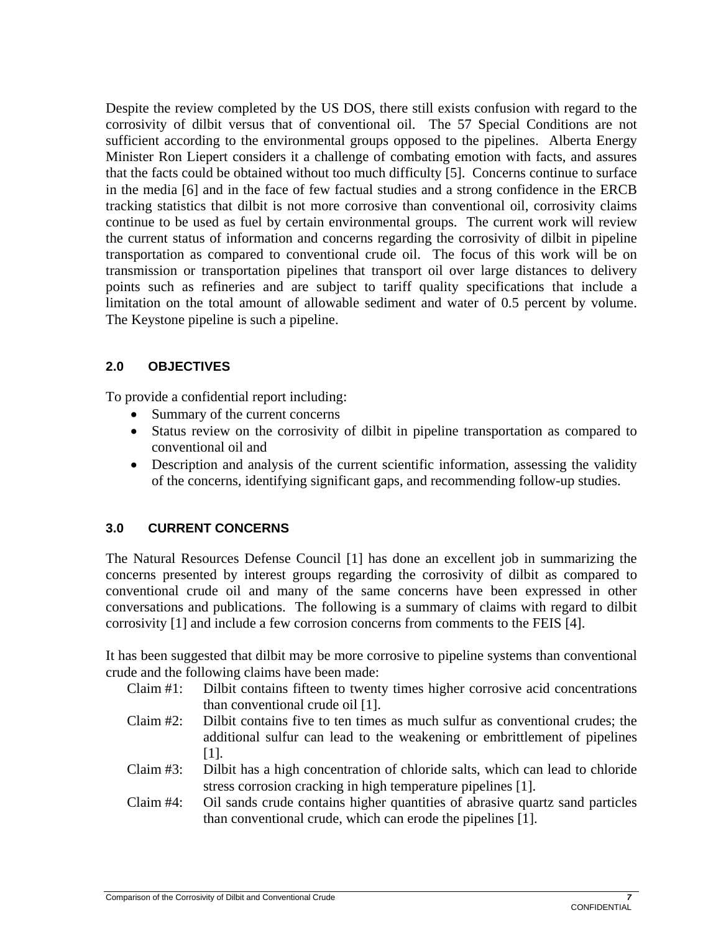Despite the review completed by the US DOS, there still exists confusion with regard to the corrosivity of dilbit versus that of conventional oil. The 57 Special Conditions are not sufficient according to the environmental groups opposed to the pipelines. Alberta Energy Minister Ron Liepert considers it a challenge of combating emotion with facts, and assures that the facts could be obtained without too much difficulty [5]. Concerns continue to surface in the media [6] and in the face of few factual studies and a strong confidence in the ERCB tracking statistics that dilbit is not more corrosive than conventional oil, corrosivity claims continue to be used as fuel by certain environmental groups. The current work will review the current status of information and concerns regarding the corrosivity of dilbit in pipeline transportation as compared to conventional crude oil. The focus of this work will be on transmission or transportation pipelines that transport oil over large distances to delivery points such as refineries and are subject to tariff quality specifications that include a limitation on the total amount of allowable sediment and water of 0.5 percent by volume. The Keystone pipeline is such a pipeline.

## **2.0 OBJECTIVES**

To provide a confidential report including:

- Summary of the current concerns
- Status review on the corrosivity of dilbit in pipeline transportation as compared to conventional oil and
- Description and analysis of the current scientific information, assessing the validity of the concerns, identifying significant gaps, and recommending follow-up studies.

## **3.0 CURRENT CONCERNS**

The Natural Resources Defense Council [1] has done an excellent job in summarizing the concerns presented by interest groups regarding the corrosivity of dilbit as compared to conventional crude oil and many of the same concerns have been expressed in other conversations and publications. The following is a summary of claims with regard to dilbit corrosivity [1] and include a few corrosion concerns from comments to the FEIS [4].

It has been suggested that dilbit may be more corrosive to pipeline systems than conventional crude and the following claims have been made:

- Claim #1: Dilbit contains fifteen to twenty times higher corrosive acid concentrations than conventional crude oil [1].
- Claim #2: Dilbit contains five to ten times as much sulfur as conventional crudes; the additional sulfur can lead to the weakening or embrittlement of pipelines [1].
- Claim #3: Dilbit has a high concentration of chloride salts, which can lead to chloride stress corrosion cracking in high temperature pipelines [1].
- Claim #4: Oil sands crude contains higher quantities of abrasive quartz sand particles than conventional crude, which can erode the pipelines [1].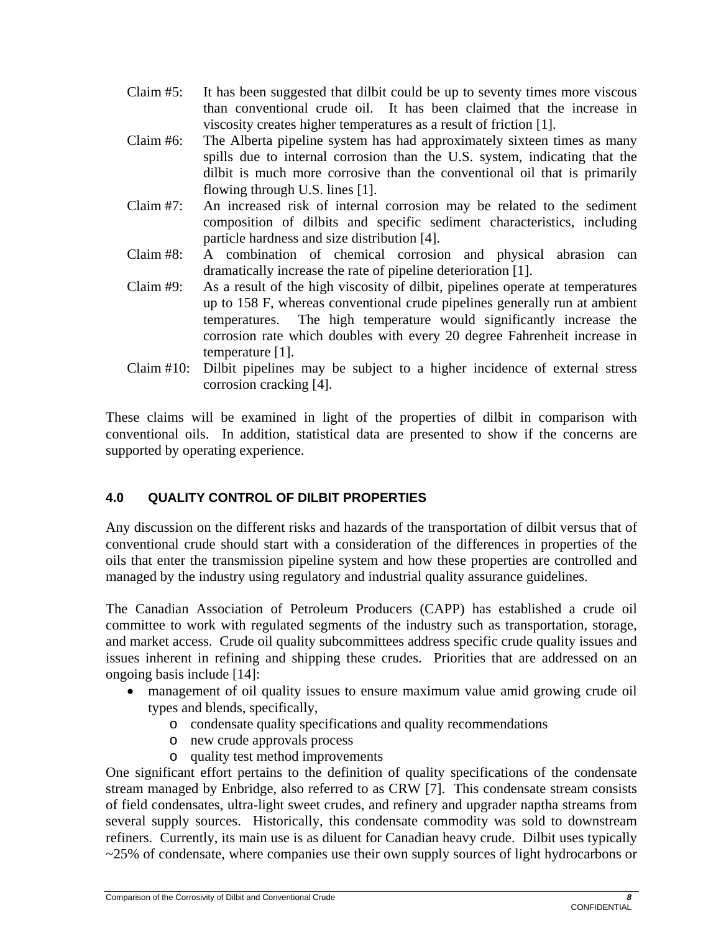- Claim #5: It has been suggested that dilbit could be up to seventy times more viscous than conventional crude oil. It has been claimed that the increase in viscosity creates higher temperatures as a result of friction [1].
- Claim #6: The Alberta pipeline system has had approximately sixteen times as many spills due to internal corrosion than the U.S. system, indicating that the dilbit is much more corrosive than the conventional oil that is primarily flowing through U.S. lines [1].
- Claim #7: An increased risk of internal corrosion may be related to the sediment composition of dilbits and specific sediment characteristics, including particle hardness and size distribution [4].
- Claim #8: A combination of chemical corrosion and physical abrasion can dramatically increase the rate of pipeline deterioration [1].
- Claim #9: As a result of the high viscosity of dilbit, pipelines operate at temperatures up to 158 F, whereas conventional crude pipelines generally run at ambient temperatures. The high temperature would significantly increase the corrosion rate which doubles with every 20 degree Fahrenheit increase in temperature [1].
- Claim #10: Dilbit pipelines may be subject to a higher incidence of external stress corrosion cracking [4].

These claims will be examined in light of the properties of dilbit in comparison with conventional oils. In addition, statistical data are presented to show if the concerns are supported by operating experience.

# **4.0 QUALITY CONTROL OF DILBIT PROPERTIES**

Any discussion on the different risks and hazards of the transportation of dilbit versus that of conventional crude should start with a consideration of the differences in properties of the oils that enter the transmission pipeline system and how these properties are controlled and managed by the industry using regulatory and industrial quality assurance guidelines.

The Canadian Association of Petroleum Producers (CAPP) has established a crude oil committee to work with regulated segments of the industry such as transportation, storage, and market access. Crude oil quality subcommittees address specific crude quality issues and issues inherent in refining and shipping these crudes. Priorities that are addressed on an ongoing basis include [14]:

- management of oil quality issues to ensure maximum value amid growing crude oil types and blends, specifically,
	- o condensate quality specifications and quality recommendations
	- o new crude approvals process
	- o quality test method improvements

One significant effort pertains to the definition of quality specifications of the condensate stream managed by Enbridge, also referred to as CRW [7]. This condensate stream consists of field condensates, ultra-light sweet crudes, and refinery and upgrader naptha streams from several supply sources. Historically, this condensate commodity was sold to downstream refiners. Currently, its main use is as diluent for Canadian heavy crude. Dilbit uses typically ~25% of condensate, where companies use their own supply sources of light hydrocarbons or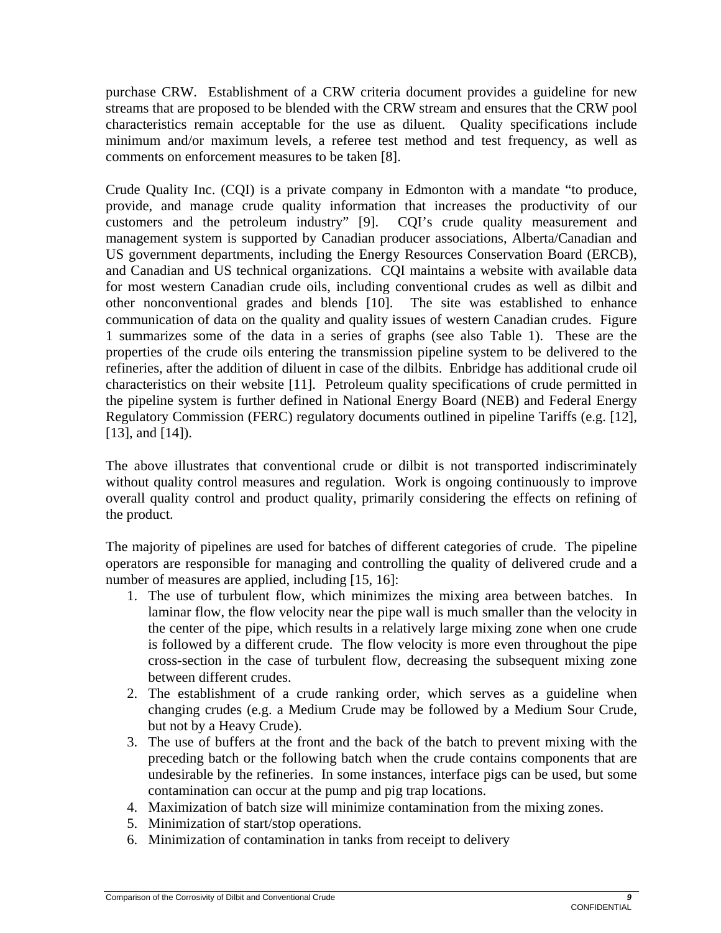purchase CRW. Establishment of a CRW criteria document provides a guideline for new streams that are proposed to be blended with the CRW stream and ensures that the CRW pool characteristics remain acceptable for the use as diluent. Quality specifications include minimum and/or maximum levels, a referee test method and test frequency, as well as comments on enforcement measures to be taken [8].

Crude Quality Inc. (CQI) is a private company in Edmonton with a mandate "to produce, provide, and manage crude quality information that increases the productivity of our customers and the petroleum industry" [9]. CQI's crude quality measurement and management system is supported by Canadian producer associations, Alberta/Canadian and US government departments, including the Energy Resources Conservation Board (ERCB), and Canadian and US technical organizations. CQI maintains a website with available data for most western Canadian crude oils, including conventional crudes as well as dilbit and other nonconventional grades and blends [10]. The site was established to enhance communication of data on the quality and quality issues of western Canadian crudes. Figure 1 summarizes some of the data in a series of graphs (see also Table 1). These are the properties of the crude oils entering the transmission pipeline system to be delivered to the refineries, after the addition of diluent in case of the dilbits. Enbridge has additional crude oil characteristics on their website [11]. Petroleum quality specifications of crude permitted in the pipeline system is further defined in National Energy Board (NEB) and Federal Energy Regulatory Commission (FERC) regulatory documents outlined in pipeline Tariffs (e.g. [12], [13], and [14]).

The above illustrates that conventional crude or dilbit is not transported indiscriminately without quality control measures and regulation. Work is ongoing continuously to improve overall quality control and product quality, primarily considering the effects on refining of the product.

The majority of pipelines are used for batches of different categories of crude. The pipeline operators are responsible for managing and controlling the quality of delivered crude and a number of measures are applied, including [15, 16]:

- 1. The use of turbulent flow, which minimizes the mixing area between batches. In laminar flow, the flow velocity near the pipe wall is much smaller than the velocity in the center of the pipe, which results in a relatively large mixing zone when one crude is followed by a different crude. The flow velocity is more even throughout the pipe cross-section in the case of turbulent flow, decreasing the subsequent mixing zone between different crudes.
- 2. The establishment of a crude ranking order, which serves as a guideline when changing crudes (e.g. a Medium Crude may be followed by a Medium Sour Crude, but not by a Heavy Crude).
- 3. The use of buffers at the front and the back of the batch to prevent mixing with the preceding batch or the following batch when the crude contains components that are undesirable by the refineries. In some instances, interface pigs can be used, but some contamination can occur at the pump and pig trap locations.
- 4. Maximization of batch size will minimize contamination from the mixing zones.
- 5. Minimization of start/stop operations.
- 6. Minimization of contamination in tanks from receipt to delivery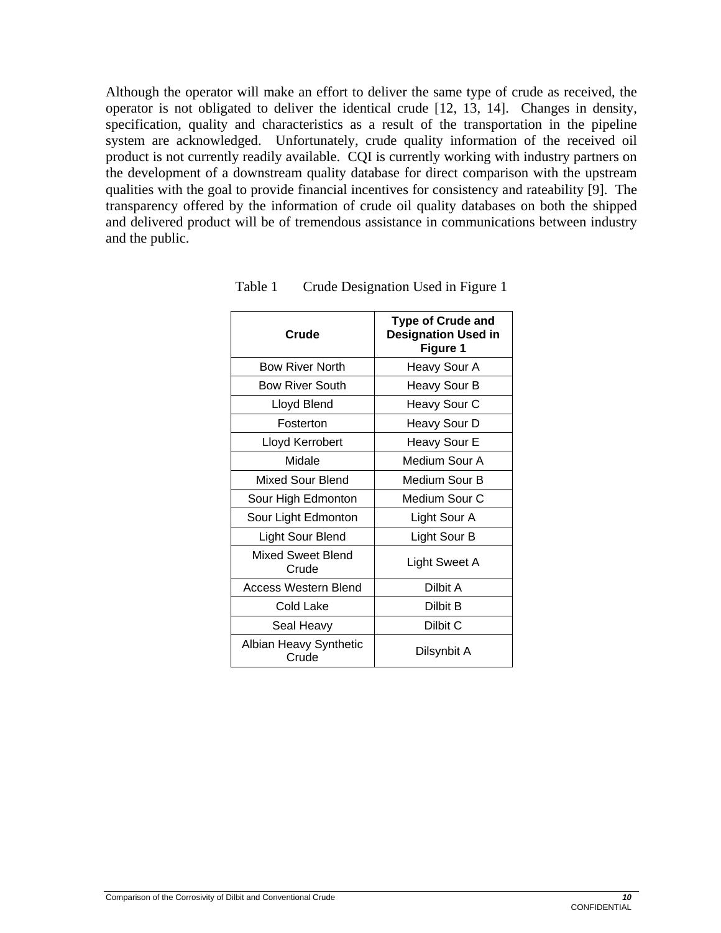Although the operator will make an effort to deliver the same type of crude as received, the operator is not obligated to deliver the identical crude [12, 13, 14]. Changes in density, specification, quality and characteristics as a result of the transportation in the pipeline system are acknowledged. Unfortunately, crude quality information of the received oil product is not currently readily available. CQI is currently working with industry partners on the development of a downstream quality database for direct comparison with the upstream qualities with the goal to provide financial incentives for consistency and rateability [9]. The transparency offered by the information of crude oil quality databases on both the shipped and delivered product will be of tremendous assistance in communications between industry and the public.

| Crude                           | <b>Type of Crude and</b><br><b>Designation Used in</b><br>Figure 1 |
|---------------------------------|--------------------------------------------------------------------|
| <b>Bow River North</b>          | Heavy Sour A                                                       |
| <b>Bow River South</b>          | Heavy Sour B                                                       |
| Lloyd Blend                     | Heavy Sour C                                                       |
| Fosterton                       | Heavy Sour D                                                       |
| Lloyd Kerrobert                 | Heavy Sour E                                                       |
| Midale                          | Medium Sour A                                                      |
| <b>Mixed Sour Blend</b>         | Medium Sour B                                                      |
| Sour High Edmonton              | Medium Sour C                                                      |
| Sour Light Edmonton             | Light Sour A                                                       |
| Light Sour Blend                | Light Sour B                                                       |
| Mixed Sweet Blend<br>Crude      | Light Sweet A                                                      |
| Access Western Blend            | Dilbit A                                                           |
| Cold Lake                       | Dilbit B                                                           |
| Seal Heavy                      | Dilbit C                                                           |
| Albian Heavy Synthetic<br>Crude | Dilsynbit A                                                        |

Table 1 Crude Designation Used in Figure 1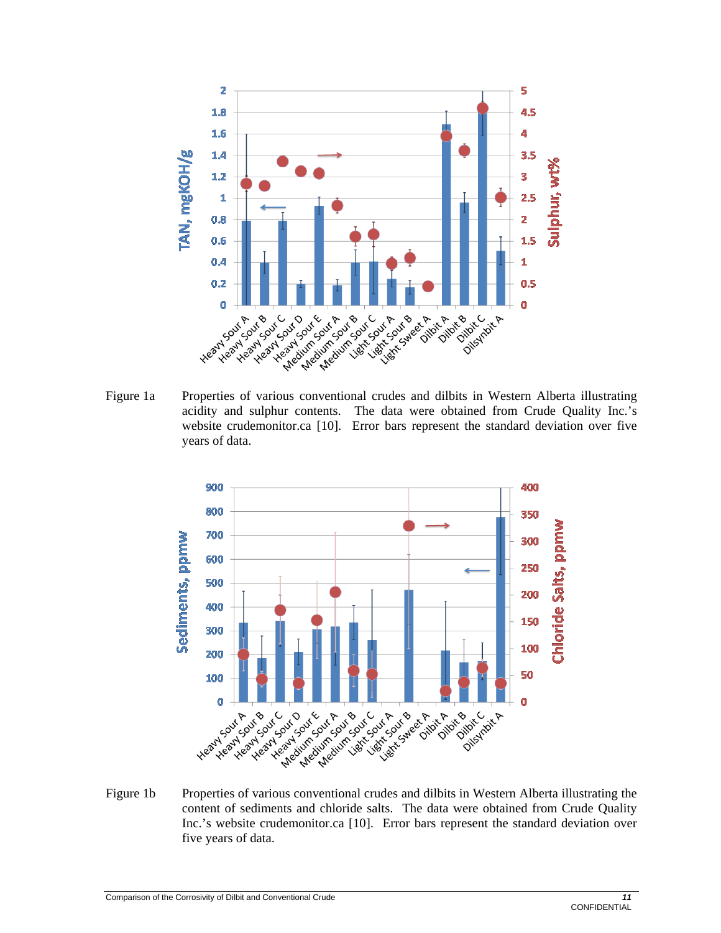

Figure 1a Properties of various conventional crudes and dilbits in Western Alberta illustrating acidity and sulphur contents. The data were obtained from Crude Quality Inc.'s website crudemonitor.ca [10]. Error bars represent the standard deviation over five years of data.



Figure 1b Properties of various conventional crudes and dilbits in Western Alberta illustrating the content of sediments and chloride salts. The data were obtained from Crude Quality Inc.'s website crudemonitor.ca [10]. Error bars represent the standard deviation over five years of data.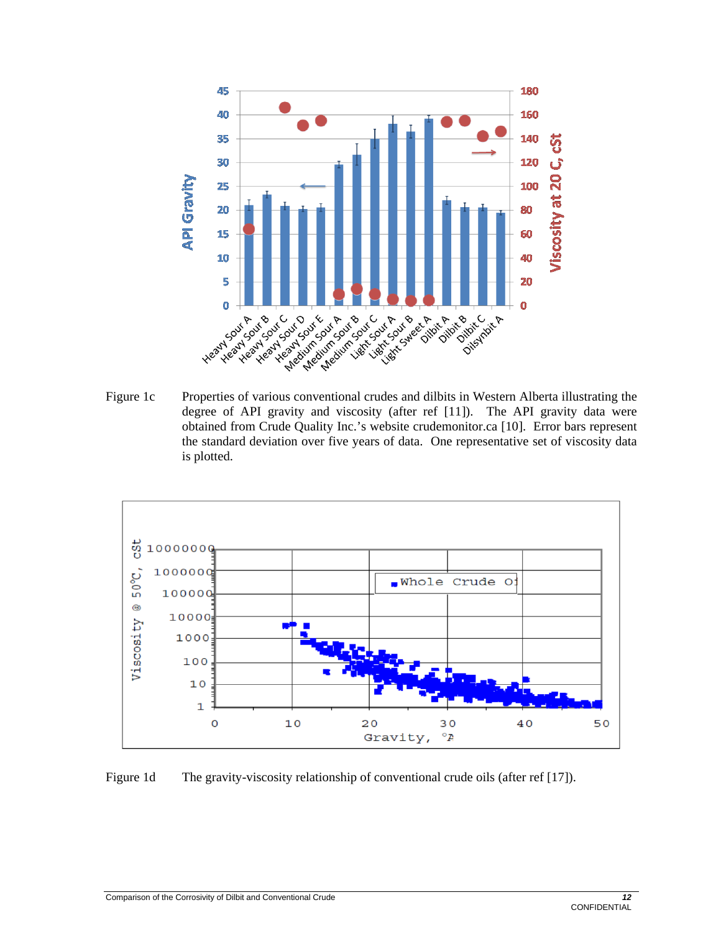

degree of API gravity and viscosity (after ref [11]). The API gravity data were obtained from Crude Quality Inc.'s website crudemonitor.ca [10]. Error bars represent the standard deviation over five years of data. One representative set of viscosity data is plotted.



Figure 1d The gravity-viscosity relationship of conventional crude oils (after ref [17]).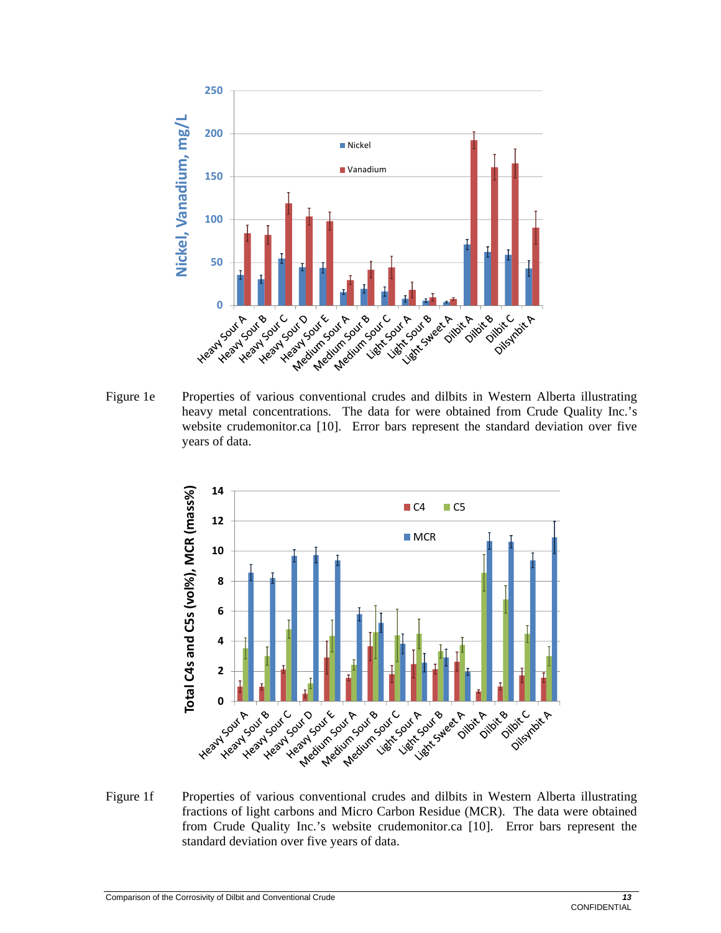

heavy metal concentrations. The data for were obtained from Crude Quality Inc.'s website crudemonitor.ca [10]. Error bars represent the standard deviation over five years of data.



Figure 1f Properties of various conventional crudes and dilbits in Western Alberta illustrating fractions of light carbons and Micro Carbon Residue (MCR). The data were obtained from Crude Quality Inc.'s website crudemonitor.ca [10]. Error bars represent the standard deviation over five years of data.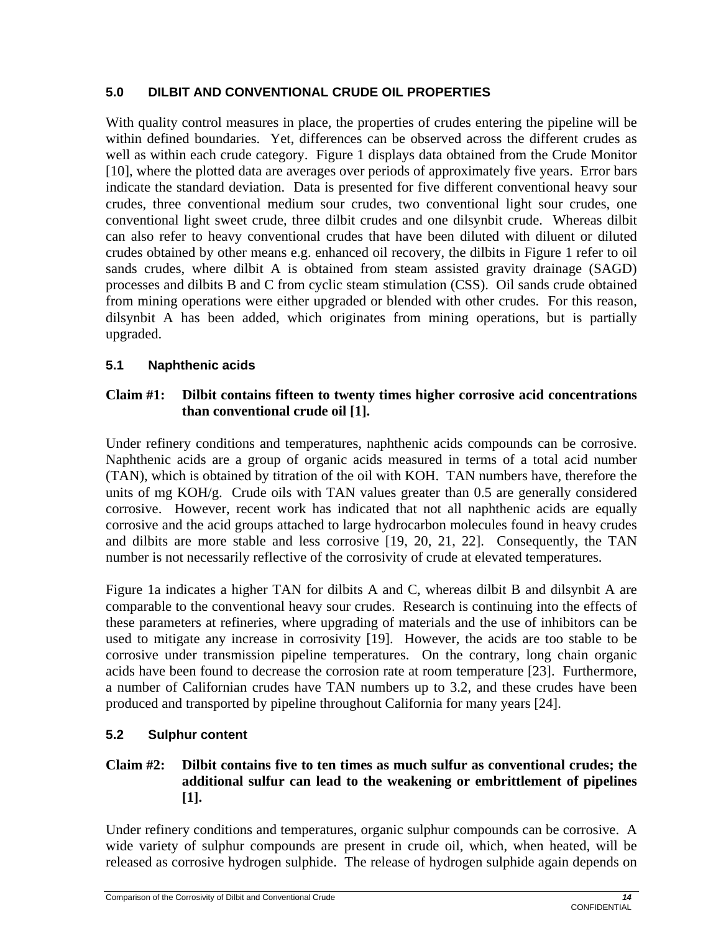## **5.0 DILBIT AND CONVENTIONAL CRUDE OIL PROPERTIES**

With quality control measures in place, the properties of crudes entering the pipeline will be within defined boundaries. Yet, differences can be observed across the different crudes as well as within each crude category. Figure 1 displays data obtained from the Crude Monitor [10], where the plotted data are averages over periods of approximately five years. Error bars indicate the standard deviation. Data is presented for five different conventional heavy sour crudes, three conventional medium sour crudes, two conventional light sour crudes, one conventional light sweet crude, three dilbit crudes and one dilsynbit crude. Whereas dilbit can also refer to heavy conventional crudes that have been diluted with diluent or diluted crudes obtained by other means e.g. enhanced oil recovery, the dilbits in Figure 1 refer to oil sands crudes, where dilbit A is obtained from steam assisted gravity drainage (SAGD) processes and dilbits B and C from cyclic steam stimulation (CSS). Oil sands crude obtained from mining operations were either upgraded or blended with other crudes. For this reason, dilsynbit A has been added, which originates from mining operations, but is partially upgraded.

## **5.1 Naphthenic acids**

## **Claim #1: Dilbit contains fifteen to twenty times higher corrosive acid concentrations than conventional crude oil [1].**

Under refinery conditions and temperatures, naphthenic acids compounds can be corrosive. Naphthenic acids are a group of organic acids measured in terms of a total acid number (TAN), which is obtained by titration of the oil with KOH. TAN numbers have, therefore the units of mg KOH/g. Crude oils with TAN values greater than 0.5 are generally considered corrosive. However, recent work has indicated that not all naphthenic acids are equally corrosive and the acid groups attached to large hydrocarbon molecules found in heavy crudes and dilbits are more stable and less corrosive [19, 20, 21, 22]. Consequently, the TAN number is not necessarily reflective of the corrosivity of crude at elevated temperatures.

Figure 1a indicates a higher TAN for dilbits A and C, whereas dilbit B and dilsynbit A are comparable to the conventional heavy sour crudes. Research is continuing into the effects of these parameters at refineries, where upgrading of materials and the use of inhibitors can be used to mitigate any increase in corrosivity [19]. However, the acids are too stable to be corrosive under transmission pipeline temperatures. On the contrary, long chain organic acids have been found to decrease the corrosion rate at room temperature [23]. Furthermore, a number of Californian crudes have TAN numbers up to 3.2, and these crudes have been produced and transported by pipeline throughout California for many years [24].

## **5.2 Sulphur content**

## **Claim #2: Dilbit contains five to ten times as much sulfur as conventional crudes; the additional sulfur can lead to the weakening or embrittlement of pipelines [1].**

Under refinery conditions and temperatures, organic sulphur compounds can be corrosive. A wide variety of sulphur compounds are present in crude oil, which, when heated, will be released as corrosive hydrogen sulphide. The release of hydrogen sulphide again depends on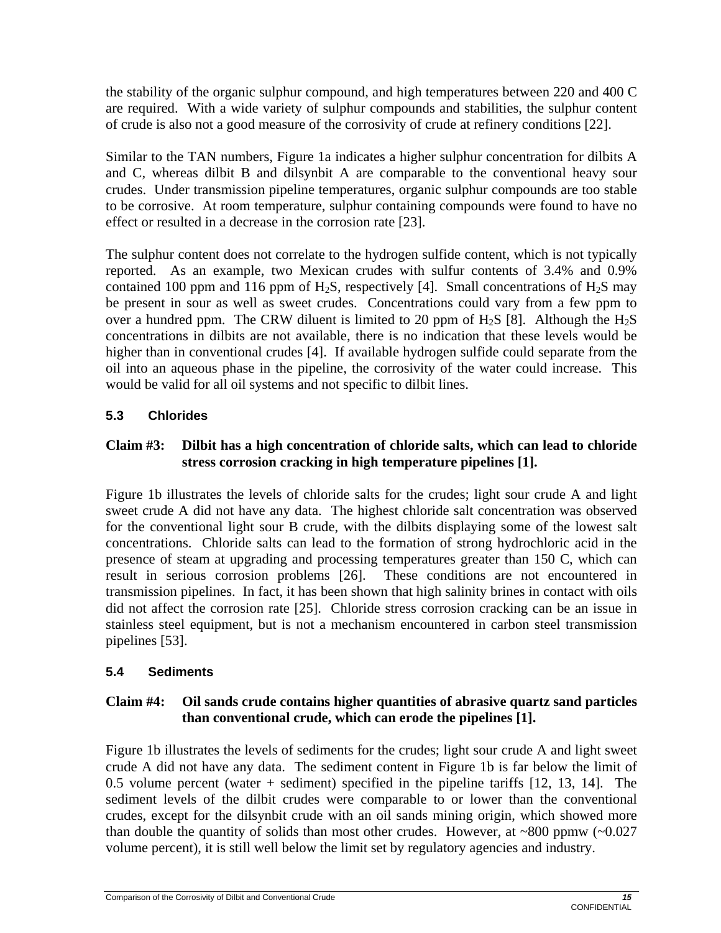the stability of the organic sulphur compound, and high temperatures between 220 and 400 C are required. With a wide variety of sulphur compounds and stabilities, the sulphur content of crude is also not a good measure of the corrosivity of crude at refinery conditions [22].

Similar to the TAN numbers, Figure 1a indicates a higher sulphur concentration for dilbits A and C, whereas dilbit B and dilsynbit A are comparable to the conventional heavy sour crudes. Under transmission pipeline temperatures, organic sulphur compounds are too stable to be corrosive. At room temperature, sulphur containing compounds were found to have no effect or resulted in a decrease in the corrosion rate [23].

The sulphur content does not correlate to the hydrogen sulfide content, which is not typically reported. As an example, two Mexican crudes with sulfur contents of 3.4% and 0.9% contained 100 ppm and 116 ppm of H<sub>2</sub>S, respectively [4]. Small concentrations of H<sub>2</sub>S may be present in sour as well as sweet crudes. Concentrations could vary from a few ppm to over a hundred ppm. The CRW diluent is limited to 20 ppm of  $H_2S$  [8]. Although the  $H_2S$ concentrations in dilbits are not available, there is no indication that these levels would be higher than in conventional crudes [4]. If available hydrogen sulfide could separate from the oil into an aqueous phase in the pipeline, the corrosivity of the water could increase. This would be valid for all oil systems and not specific to dilbit lines.

## **5.3 Chlorides**

## **Claim #3: Dilbit has a high concentration of chloride salts, which can lead to chloride stress corrosion cracking in high temperature pipelines [1].**

Figure 1b illustrates the levels of chloride salts for the crudes; light sour crude A and light sweet crude A did not have any data. The highest chloride salt concentration was observed for the conventional light sour B crude, with the dilbits displaying some of the lowest salt concentrations. Chloride salts can lead to the formation of strong hydrochloric acid in the presence of steam at upgrading and processing temperatures greater than 150 C, which can result in serious corrosion problems [26]. These conditions are not encountered in transmission pipelines. In fact, it has been shown that high salinity brines in contact with oils did not affect the corrosion rate [25]. Chloride stress corrosion cracking can be an issue in stainless steel equipment, but is not a mechanism encountered in carbon steel transmission pipelines [53].

## **5.4 Sediments**

## **Claim #4: Oil sands crude contains higher quantities of abrasive quartz sand particles than conventional crude, which can erode the pipelines [1].**

Figure 1b illustrates the levels of sediments for the crudes; light sour crude A and light sweet crude A did not have any data. The sediment content in Figure 1b is far below the limit of 0.5 volume percent (water + sediment) specified in the pipeline tariffs [12, 13, 14]. The sediment levels of the dilbit crudes were comparable to or lower than the conventional crudes, except for the dilsynbit crude with an oil sands mining origin, which showed more than double the quantity of solids than most other crudes. However, at  $\sim 800$  ppmw ( $\sim 0.027$ ) volume percent), it is still well below the limit set by regulatory agencies and industry.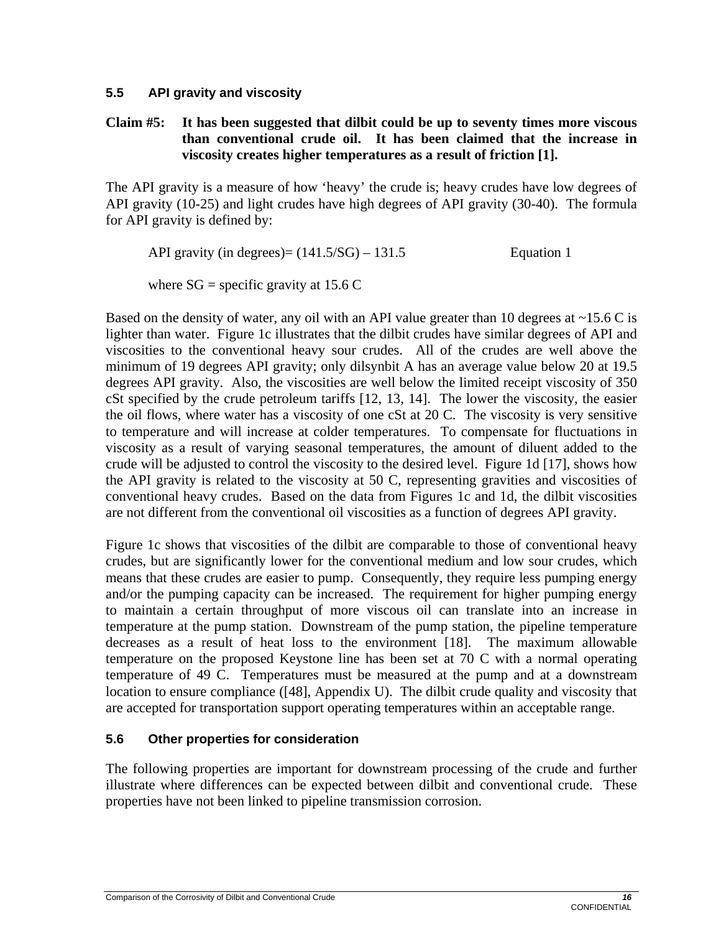## **5.5 API gravity and viscosity**

## **Claim #5: It has been suggested that dilbit could be up to seventy times more viscous than conventional crude oil. It has been claimed that the increase in viscosity creates higher temperatures as a result of friction [1].**

The API gravity is a measure of how 'heavy' the crude is; heavy crudes have low degrees of API gravity (10-25) and light crudes have high degrees of API gravity (30-40). The formula for API gravity is defined by:

API gravity (in degrees) =  $(141.5/\text{SG}) - 131.5$  Equation 1

where  $SG =$  specific gravity at 15.6 C

Based on the density of water, any oil with an API value greater than 10 degrees at  $\sim$ 15.6 C is lighter than water. Figure 1c illustrates that the dilbit crudes have similar degrees of API and viscosities to the conventional heavy sour crudes. All of the crudes are well above the minimum of 19 degrees API gravity; only dilsynbit A has an average value below 20 at 19.5 degrees API gravity. Also, the viscosities are well below the limited receipt viscosity of 350 cSt specified by the crude petroleum tariffs [12, 13, 14]. The lower the viscosity, the easier the oil flows, where water has a viscosity of one cSt at 20 C. The viscosity is very sensitive to temperature and will increase at colder temperatures. To compensate for fluctuations in viscosity as a result of varying seasonal temperatures, the amount of diluent added to the crude will be adjusted to control the viscosity to the desired level. Figure 1d [17], shows how the API gravity is related to the viscosity at 50 C, representing gravities and viscosities of conventional heavy crudes. Based on the data from Figures 1c and 1d, the dilbit viscosities are not different from the conventional oil viscosities as a function of degrees API gravity.

Figure 1c shows that viscosities of the dilbit are comparable to those of conventional heavy crudes, but are significantly lower for the conventional medium and low sour crudes, which means that these crudes are easier to pump. Consequently, they require less pumping energy and/or the pumping capacity can be increased. The requirement for higher pumping energy to maintain a certain throughput of more viscous oil can translate into an increase in temperature at the pump station. Downstream of the pump station, the pipeline temperature decreases as a result of heat loss to the environment [18]. The maximum allowable temperature on the proposed Keystone line has been set at 70 C with a normal operating temperature of 49 C. Temperatures must be measured at the pump and at a downstream location to ensure compliance ([48], Appendix U). The dilbit crude quality and viscosity that are accepted for transportation support operating temperatures within an acceptable range.

## **5.6 Other properties for consideration**

The following properties are important for downstream processing of the crude and further illustrate where differences can be expected between dilbit and conventional crude. These properties have not been linked to pipeline transmission corrosion.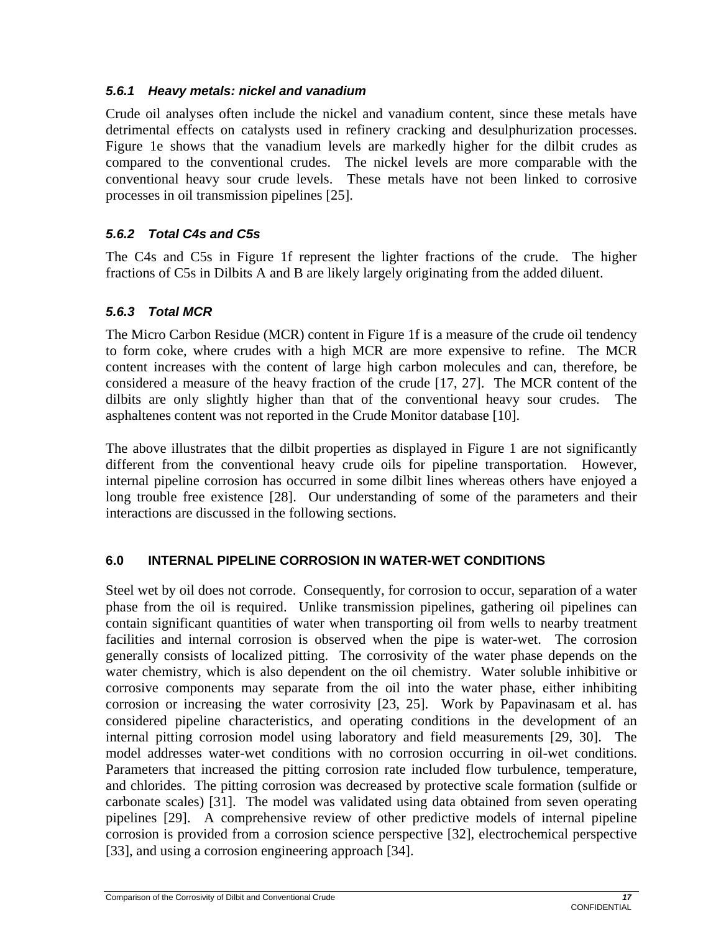## *5.6.1 Heavy metals: nickel and vanadium*

Crude oil analyses often include the nickel and vanadium content, since these metals have detrimental effects on catalysts used in refinery cracking and desulphurization processes. Figure 1e shows that the vanadium levels are markedly higher for the dilbit crudes as compared to the conventional crudes. The nickel levels are more comparable with the conventional heavy sour crude levels. These metals have not been linked to corrosive processes in oil transmission pipelines [25].

## *5.6.2 Total C4s and C5s*

The C4s and C5s in Figure 1f represent the lighter fractions of the crude. The higher fractions of C5s in Dilbits A and B are likely largely originating from the added diluent.

## *5.6.3 Total MCR*

The Micro Carbon Residue (MCR) content in Figure 1f is a measure of the crude oil tendency to form coke, where crudes with a high MCR are more expensive to refine. The MCR content increases with the content of large high carbon molecules and can, therefore, be considered a measure of the heavy fraction of the crude [17, 27]. The MCR content of the dilbits are only slightly higher than that of the conventional heavy sour crudes. The asphaltenes content was not reported in the Crude Monitor database [10].

The above illustrates that the dilbit properties as displayed in Figure 1 are not significantly different from the conventional heavy crude oils for pipeline transportation. However, internal pipeline corrosion has occurred in some dilbit lines whereas others have enjoyed a long trouble free existence [28]. Our understanding of some of the parameters and their interactions are discussed in the following sections.

## **6.0 INTERNAL PIPELINE CORROSION IN WATER-WET CONDITIONS**

Steel wet by oil does not corrode. Consequently, for corrosion to occur, separation of a water phase from the oil is required. Unlike transmission pipelines, gathering oil pipelines can contain significant quantities of water when transporting oil from wells to nearby treatment facilities and internal corrosion is observed when the pipe is water-wet. The corrosion generally consists of localized pitting. The corrosivity of the water phase depends on the water chemistry, which is also dependent on the oil chemistry. Water soluble inhibitive or corrosive components may separate from the oil into the water phase, either inhibiting corrosion or increasing the water corrosivity [23, 25]. Work by Papavinasam et al. has considered pipeline characteristics, and operating conditions in the development of an internal pitting corrosion model using laboratory and field measurements [29, 30]. The model addresses water-wet conditions with no corrosion occurring in oil-wet conditions. Parameters that increased the pitting corrosion rate included flow turbulence, temperature, and chlorides. The pitting corrosion was decreased by protective scale formation (sulfide or carbonate scales) [31]. The model was validated using data obtained from seven operating pipelines [29]. A comprehensive review of other predictive models of internal pipeline corrosion is provided from a corrosion science perspective [32], electrochemical perspective [33], and using a corrosion engineering approach [34].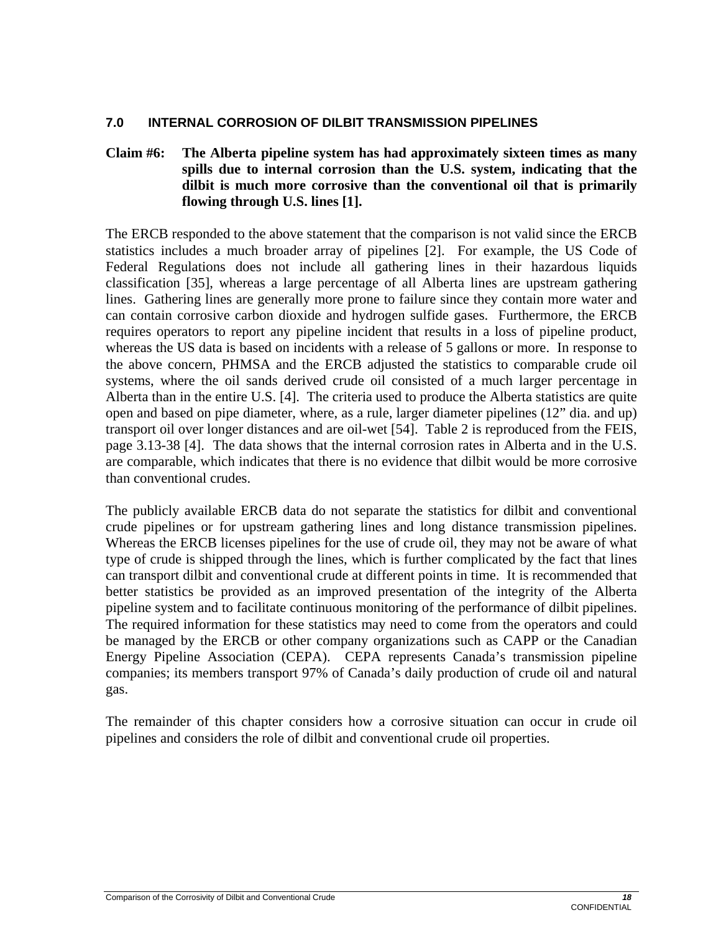#### **7.0 INTERNAL CORROSION OF DILBIT TRANSMISSION PIPELINES**

#### **Claim #6: The Alberta pipeline system has had approximately sixteen times as many spills due to internal corrosion than the U.S. system, indicating that the dilbit is much more corrosive than the conventional oil that is primarily flowing through U.S. lines [1].**

The ERCB responded to the above statement that the comparison is not valid since the ERCB statistics includes a much broader array of pipelines [2]. For example, the US Code of Federal Regulations does not include all gathering lines in their hazardous liquids classification [35], whereas a large percentage of all Alberta lines are upstream gathering lines. Gathering lines are generally more prone to failure since they contain more water and can contain corrosive carbon dioxide and hydrogen sulfide gases. Furthermore, the ERCB requires operators to report any pipeline incident that results in a loss of pipeline product, whereas the US data is based on incidents with a release of 5 gallons or more. In response to the above concern, PHMSA and the ERCB adjusted the statistics to comparable crude oil systems, where the oil sands derived crude oil consisted of a much larger percentage in Alberta than in the entire U.S. [4]. The criteria used to produce the Alberta statistics are quite open and based on pipe diameter, where, as a rule, larger diameter pipelines (12" dia. and up) transport oil over longer distances and are oil-wet [54]. Table 2 is reproduced from the FEIS, page 3.13-38 [4]. The data shows that the internal corrosion rates in Alberta and in the U.S. are comparable, which indicates that there is no evidence that dilbit would be more corrosive than conventional crudes.

The publicly available ERCB data do not separate the statistics for dilbit and conventional crude pipelines or for upstream gathering lines and long distance transmission pipelines. Whereas the ERCB licenses pipelines for the use of crude oil, they may not be aware of what type of crude is shipped through the lines, which is further complicated by the fact that lines can transport dilbit and conventional crude at different points in time. It is recommended that better statistics be provided as an improved presentation of the integrity of the Alberta pipeline system and to facilitate continuous monitoring of the performance of dilbit pipelines. The required information for these statistics may need to come from the operators and could be managed by the ERCB or other company organizations such as CAPP or the Canadian Energy Pipeline Association (CEPA). CEPA represents Canada's transmission pipeline companies; its members transport 97% of Canada's daily production of crude oil and natural gas.

The remainder of this chapter considers how a corrosive situation can occur in crude oil pipelines and considers the role of dilbit and conventional crude oil properties.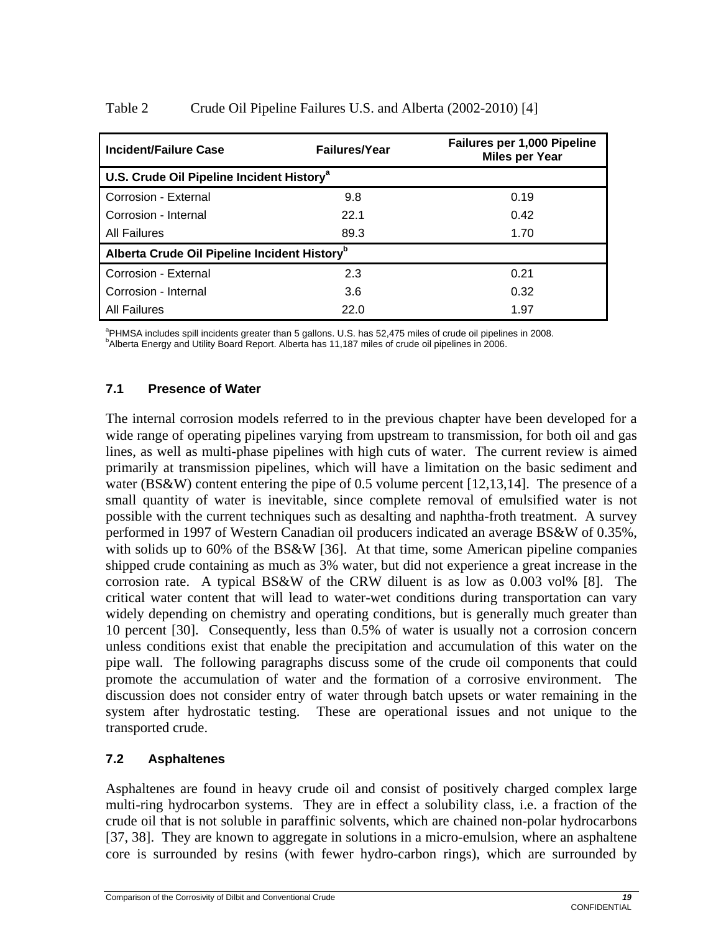| Incident/Failure Case                                    | <b>Failures/Year</b> | <b>Failures per 1,000 Pipeline</b><br><b>Miles per Year</b> |  |  |
|----------------------------------------------------------|----------------------|-------------------------------------------------------------|--|--|
| U.S. Crude Oil Pipeline Incident History <sup>a</sup>    |                      |                                                             |  |  |
| Corrosion - External                                     | 9.8                  | 0.19                                                        |  |  |
| Corrosion - Internal                                     | 22.1                 | 0.42                                                        |  |  |
| All Failures                                             | 89.3                 | 1.70                                                        |  |  |
| Alberta Crude Oil Pipeline Incident History <sup>b</sup> |                      |                                                             |  |  |
| Corrosion - External                                     | 2.3                  | 0.21                                                        |  |  |
| Corrosion - Internal                                     | 3.6                  | 0.32                                                        |  |  |
| All Failures                                             | 22.0                 | 1.97                                                        |  |  |

#### Table 2 Crude Oil Pipeline Failures U.S. and Alberta (2002-2010) [4]

<sup>a</sup> PHMSA includes spill incidents greater than 5 gallons. U.S. has 52,475 miles of crude oil pipelines in 2008.<br><sup>b</sup>Alberta Energy and Utility Board Benert, Alberta has 11,187 miles of crude eil pipelines in 2006. <sup>b</sup>Alberta Energy and Utility Board Report. Alberta has 11,187 miles of crude oil pipelines in 2006.

#### **7.1 Presence of Water**

The internal corrosion models referred to in the previous chapter have been developed for a wide range of operating pipelines varying from upstream to transmission, for both oil and gas lines, as well as multi-phase pipelines with high cuts of water. The current review is aimed primarily at transmission pipelines, which will have a limitation on the basic sediment and water (BS&W) content entering the pipe of 0.5 volume percent [12,13,14]. The presence of a small quantity of water is inevitable, since complete removal of emulsified water is not possible with the current techniques such as desalting and naphtha-froth treatment. A survey performed in 1997 of Western Canadian oil producers indicated an average BS&W of 0.35%, with solids up to 60% of the BS&W [36]. At that time, some American pipeline companies shipped crude containing as much as 3% water, but did not experience a great increase in the corrosion rate. A typical BS&W of the CRW diluent is as low as 0.003 vol% [8]. The critical water content that will lead to water-wet conditions during transportation can vary widely depending on chemistry and operating conditions, but is generally much greater than 10 percent [30]. Consequently, less than 0.5% of water is usually not a corrosion concern unless conditions exist that enable the precipitation and accumulation of this water on the pipe wall. The following paragraphs discuss some of the crude oil components that could promote the accumulation of water and the formation of a corrosive environment. The discussion does not consider entry of water through batch upsets or water remaining in the system after hydrostatic testing. These are operational issues and not unique to the transported crude.

#### **7.2 Asphaltenes**

Asphaltenes are found in heavy crude oil and consist of positively charged complex large multi-ring hydrocarbon systems. They are in effect a solubility class, i.e. a fraction of the crude oil that is not soluble in paraffinic solvents, which are chained non-polar hydrocarbons [37, 38]. They are known to aggregate in solutions in a micro-emulsion, where an asphaltene core is surrounded by resins (with fewer hydro-carbon rings), which are surrounded by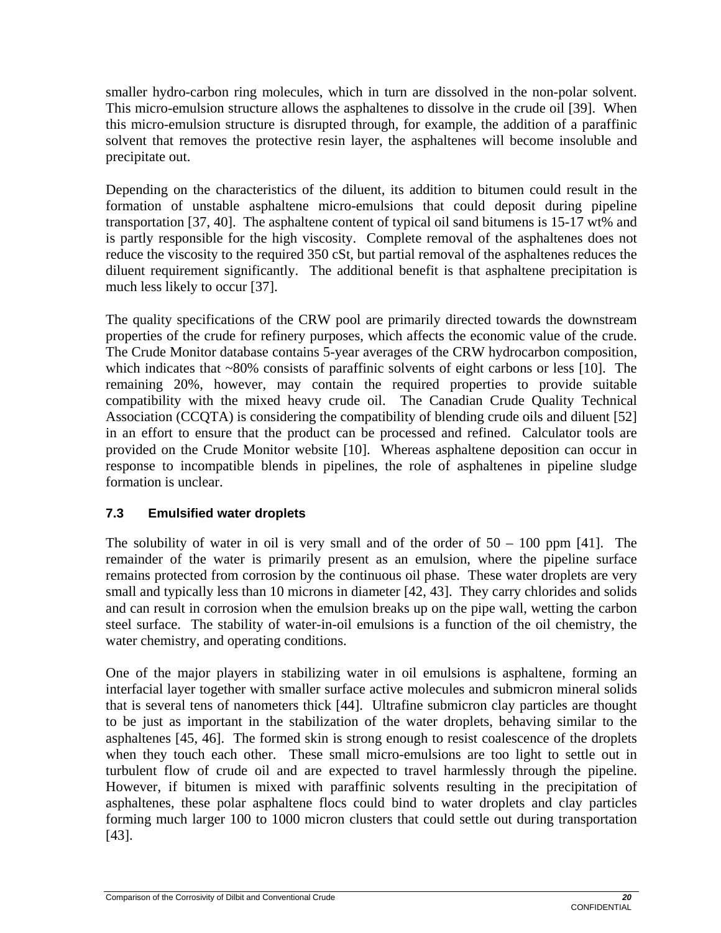smaller hydro-carbon ring molecules, which in turn are dissolved in the non-polar solvent. This micro-emulsion structure allows the asphaltenes to dissolve in the crude oil [39]. When this micro-emulsion structure is disrupted through, for example, the addition of a paraffinic solvent that removes the protective resin layer, the asphaltenes will become insoluble and precipitate out.

Depending on the characteristics of the diluent, its addition to bitumen could result in the formation of unstable asphaltene micro-emulsions that could deposit during pipeline transportation [37, 40]. The asphaltene content of typical oil sand bitumens is 15-17 wt% and is partly responsible for the high viscosity. Complete removal of the asphaltenes does not reduce the viscosity to the required 350 cSt, but partial removal of the asphaltenes reduces the diluent requirement significantly. The additional benefit is that asphaltene precipitation is much less likely to occur [37].

The quality specifications of the CRW pool are primarily directed towards the downstream properties of the crude for refinery purposes, which affects the economic value of the crude. The Crude Monitor database contains 5-year averages of the CRW hydrocarbon composition, which indicates that ~80% consists of paraffinic solvents of eight carbons or less [10]. The remaining 20%, however, may contain the required properties to provide suitable compatibility with the mixed heavy crude oil. The Canadian Crude Quality Technical Association (CCQTA) is considering the compatibility of blending crude oils and diluent [52] in an effort to ensure that the product can be processed and refined. Calculator tools are provided on the Crude Monitor website [10]. Whereas asphaltene deposition can occur in response to incompatible blends in pipelines, the role of asphaltenes in pipeline sludge formation is unclear.

## **7.3 Emulsified water droplets**

The solubility of water in oil is very small and of the order of  $50 - 100$  ppm [41]. The remainder of the water is primarily present as an emulsion, where the pipeline surface remains protected from corrosion by the continuous oil phase. These water droplets are very small and typically less than 10 microns in diameter [42, 43]. They carry chlorides and solids and can result in corrosion when the emulsion breaks up on the pipe wall, wetting the carbon steel surface. The stability of water-in-oil emulsions is a function of the oil chemistry, the water chemistry, and operating conditions.

One of the major players in stabilizing water in oil emulsions is asphaltene, forming an interfacial layer together with smaller surface active molecules and submicron mineral solids that is several tens of nanometers thick [44]. Ultrafine submicron clay particles are thought to be just as important in the stabilization of the water droplets, behaving similar to the asphaltenes [45, 46]. The formed skin is strong enough to resist coalescence of the droplets when they touch each other. These small micro-emulsions are too light to settle out in turbulent flow of crude oil and are expected to travel harmlessly through the pipeline. However, if bitumen is mixed with paraffinic solvents resulting in the precipitation of asphaltenes, these polar asphaltene flocs could bind to water droplets and clay particles forming much larger 100 to 1000 micron clusters that could settle out during transportation [43].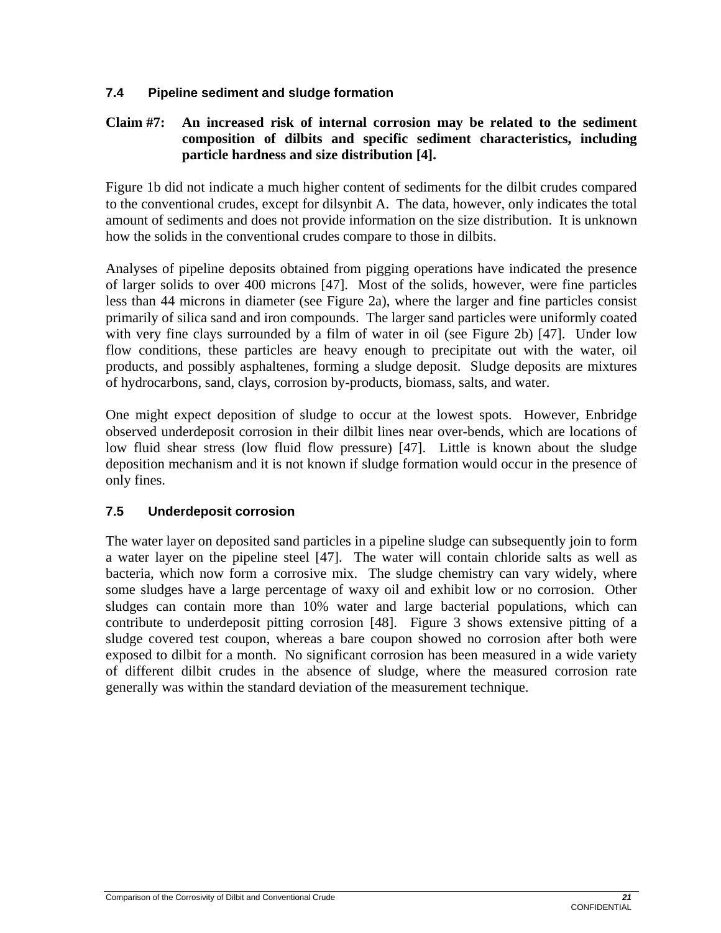## **7.4 Pipeline sediment and sludge formation**

## **Claim #7: An increased risk of internal corrosion may be related to the sediment composition of dilbits and specific sediment characteristics, including particle hardness and size distribution [4].**

Figure 1b did not indicate a much higher content of sediments for the dilbit crudes compared to the conventional crudes, except for dilsynbit A. The data, however, only indicates the total amount of sediments and does not provide information on the size distribution. It is unknown how the solids in the conventional crudes compare to those in dilbits.

Analyses of pipeline deposits obtained from pigging operations have indicated the presence of larger solids to over 400 microns [47]. Most of the solids, however, were fine particles less than 44 microns in diameter (see Figure 2a), where the larger and fine particles consist primarily of silica sand and iron compounds. The larger sand particles were uniformly coated with very fine clays surrounded by a film of water in oil (see Figure 2b) [47]. Under low flow conditions, these particles are heavy enough to precipitate out with the water, oil products, and possibly asphaltenes, forming a sludge deposit. Sludge deposits are mixtures of hydrocarbons, sand, clays, corrosion by-products, biomass, salts, and water.

One might expect deposition of sludge to occur at the lowest spots. However, Enbridge observed underdeposit corrosion in their dilbit lines near over-bends, which are locations of low fluid shear stress (low fluid flow pressure) [47]. Little is known about the sludge deposition mechanism and it is not known if sludge formation would occur in the presence of only fines.

#### **7.5 Underdeposit corrosion**

The water layer on deposited sand particles in a pipeline sludge can subsequently join to form a water layer on the pipeline steel [47]. The water will contain chloride salts as well as bacteria, which now form a corrosive mix. The sludge chemistry can vary widely, where some sludges have a large percentage of waxy oil and exhibit low or no corrosion. Other sludges can contain more than 10% water and large bacterial populations, which can contribute to underdeposit pitting corrosion [48]. Figure 3 shows extensive pitting of a sludge covered test coupon, whereas a bare coupon showed no corrosion after both were exposed to dilbit for a month. No significant corrosion has been measured in a wide variety of different dilbit crudes in the absence of sludge, where the measured corrosion rate generally was within the standard deviation of the measurement technique.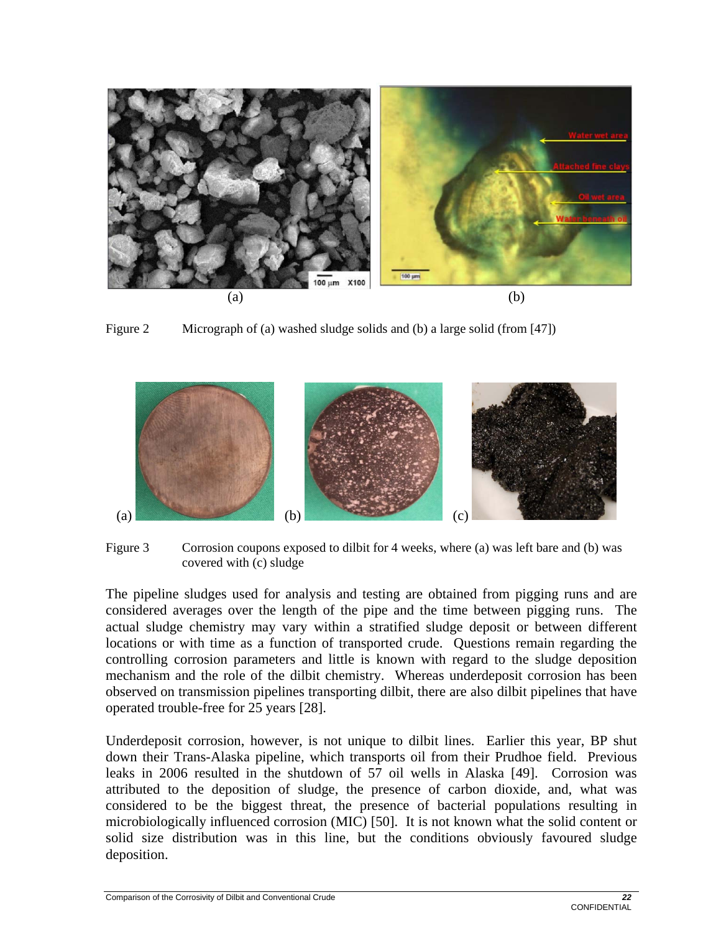

Figure 2 Micrograph of (a) washed sludge solids and (b) a large solid (from [47])



Figure 3 Corrosion coupons exposed to dilbit for 4 weeks, where (a) was left bare and (b) was covered with (c) sludge

The pipeline sludges used for analysis and testing are obtained from pigging runs and are considered averages over the length of the pipe and the time between pigging runs. The actual sludge chemistry may vary within a stratified sludge deposit or between different locations or with time as a function of transported crude. Questions remain regarding the controlling corrosion parameters and little is known with regard to the sludge deposition mechanism and the role of the dilbit chemistry. Whereas underdeposit corrosion has been observed on transmission pipelines transporting dilbit, there are also dilbit pipelines that have operated trouble-free for 25 years [28].

Underdeposit corrosion, however, is not unique to dilbit lines. Earlier this year, BP shut down their Trans-Alaska pipeline, which transports oil from their Prudhoe field. Previous leaks in 2006 resulted in the shutdown of 57 oil wells in Alaska [49]. Corrosion was attributed to the deposition of sludge, the presence of carbon dioxide, and, what was considered to be the biggest threat, the presence of bacterial populations resulting in microbiologically influenced corrosion (MIC) [50]. It is not known what the solid content or solid size distribution was in this line, but the conditions obviously favoured sludge deposition.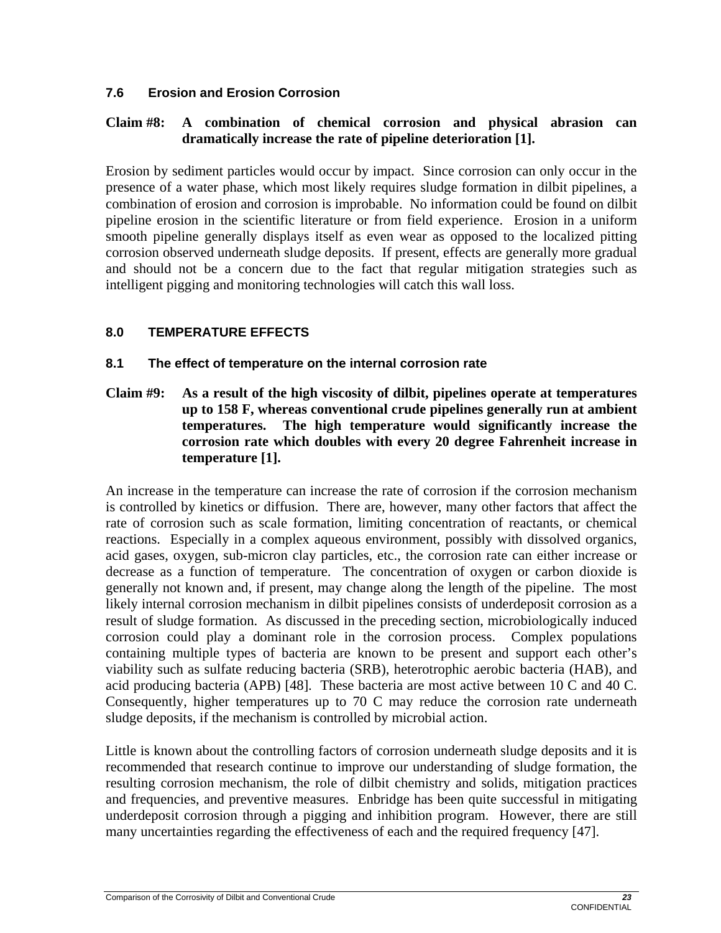## **7.6 Erosion and Erosion Corrosion**

## **Claim #8: A combination of chemical corrosion and physical abrasion can dramatically increase the rate of pipeline deterioration [1].**

Erosion by sediment particles would occur by impact. Since corrosion can only occur in the presence of a water phase, which most likely requires sludge formation in dilbit pipelines, a combination of erosion and corrosion is improbable. No information could be found on dilbit pipeline erosion in the scientific literature or from field experience. Erosion in a uniform smooth pipeline generally displays itself as even wear as opposed to the localized pitting corrosion observed underneath sludge deposits. If present, effects are generally more gradual and should not be a concern due to the fact that regular mitigation strategies such as intelligent pigging and monitoring technologies will catch this wall loss.

## **8.0 TEMPERATURE EFFECTS**

#### **8.1 The effect of temperature on the internal corrosion rate**

**Claim #9: As a result of the high viscosity of dilbit, pipelines operate at temperatures up to 158 F, whereas conventional crude pipelines generally run at ambient temperatures. The high temperature would significantly increase the corrosion rate which doubles with every 20 degree Fahrenheit increase in temperature [1].** 

An increase in the temperature can increase the rate of corrosion if the corrosion mechanism is controlled by kinetics or diffusion. There are, however, many other factors that affect the rate of corrosion such as scale formation, limiting concentration of reactants, or chemical reactions. Especially in a complex aqueous environment, possibly with dissolved organics, acid gases, oxygen, sub-micron clay particles, etc., the corrosion rate can either increase or decrease as a function of temperature. The concentration of oxygen or carbon dioxide is generally not known and, if present, may change along the length of the pipeline. The most likely internal corrosion mechanism in dilbit pipelines consists of underdeposit corrosion as a result of sludge formation. As discussed in the preceding section, microbiologically induced corrosion could play a dominant role in the corrosion process. Complex populations containing multiple types of bacteria are known to be present and support each other's viability such as sulfate reducing bacteria (SRB), heterotrophic aerobic bacteria (HAB), and acid producing bacteria (APB) [48]. These bacteria are most active between 10 C and 40 C. Consequently, higher temperatures up to 70 C may reduce the corrosion rate underneath sludge deposits, if the mechanism is controlled by microbial action.

Little is known about the controlling factors of corrosion underneath sludge deposits and it is recommended that research continue to improve our understanding of sludge formation, the resulting corrosion mechanism, the role of dilbit chemistry and solids, mitigation practices and frequencies, and preventive measures. Enbridge has been quite successful in mitigating underdeposit corrosion through a pigging and inhibition program. However, there are still many uncertainties regarding the effectiveness of each and the required frequency [47].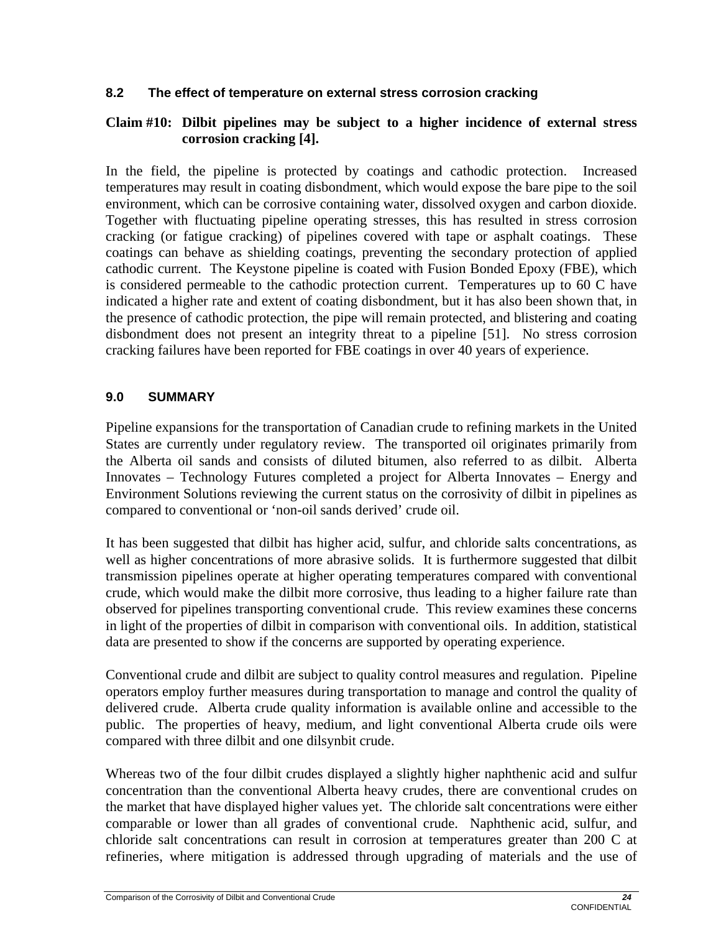#### **8.2 The effect of temperature on external stress corrosion cracking**

#### **Claim #10: Dilbit pipelines may be subject to a higher incidence of external stress corrosion cracking [4].**

In the field, the pipeline is protected by coatings and cathodic protection. Increased temperatures may result in coating disbondment, which would expose the bare pipe to the soil environment, which can be corrosive containing water, dissolved oxygen and carbon dioxide. Together with fluctuating pipeline operating stresses, this has resulted in stress corrosion cracking (or fatigue cracking) of pipelines covered with tape or asphalt coatings. These coatings can behave as shielding coatings, preventing the secondary protection of applied cathodic current. The Keystone pipeline is coated with Fusion Bonded Epoxy (FBE), which is considered permeable to the cathodic protection current. Temperatures up to 60 C have indicated a higher rate and extent of coating disbondment, but it has also been shown that, in the presence of cathodic protection, the pipe will remain protected, and blistering and coating disbondment does not present an integrity threat to a pipeline [51]. No stress corrosion cracking failures have been reported for FBE coatings in over 40 years of experience.

## **9.0 SUMMARY**

Pipeline expansions for the transportation of Canadian crude to refining markets in the United States are currently under regulatory review. The transported oil originates primarily from the Alberta oil sands and consists of diluted bitumen, also referred to as dilbit. Alberta Innovates – Technology Futures completed a project for Alberta Innovates – Energy and Environment Solutions reviewing the current status on the corrosivity of dilbit in pipelines as compared to conventional or 'non-oil sands derived' crude oil.

It has been suggested that dilbit has higher acid, sulfur, and chloride salts concentrations, as well as higher concentrations of more abrasive solids. It is furthermore suggested that dilbit transmission pipelines operate at higher operating temperatures compared with conventional crude, which would make the dilbit more corrosive, thus leading to a higher failure rate than observed for pipelines transporting conventional crude. This review examines these concerns in light of the properties of dilbit in comparison with conventional oils. In addition, statistical data are presented to show if the concerns are supported by operating experience.

Conventional crude and dilbit are subject to quality control measures and regulation. Pipeline operators employ further measures during transportation to manage and control the quality of delivered crude. Alberta crude quality information is available online and accessible to the public. The properties of heavy, medium, and light conventional Alberta crude oils were compared with three dilbit and one dilsynbit crude.

Whereas two of the four dilbit crudes displayed a slightly higher naphthenic acid and sulfur concentration than the conventional Alberta heavy crudes, there are conventional crudes on the market that have displayed higher values yet. The chloride salt concentrations were either comparable or lower than all grades of conventional crude. Naphthenic acid, sulfur, and chloride salt concentrations can result in corrosion at temperatures greater than 200 C at refineries, where mitigation is addressed through upgrading of materials and the use of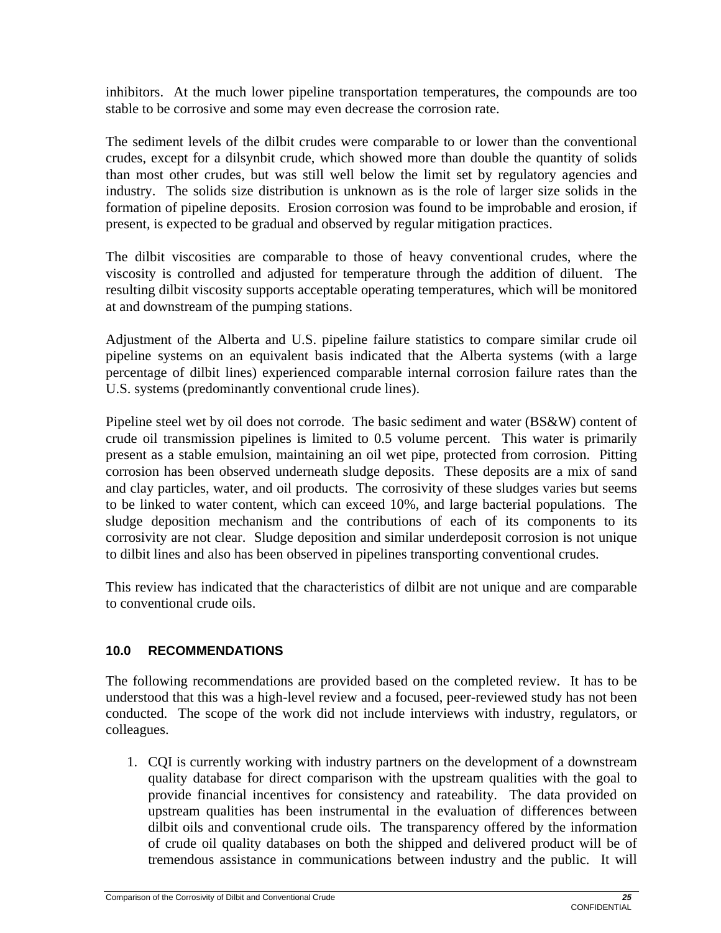inhibitors. At the much lower pipeline transportation temperatures, the compounds are too stable to be corrosive and some may even decrease the corrosion rate.

The sediment levels of the dilbit crudes were comparable to or lower than the conventional crudes, except for a dilsynbit crude, which showed more than double the quantity of solids than most other crudes, but was still well below the limit set by regulatory agencies and industry. The solids size distribution is unknown as is the role of larger size solids in the formation of pipeline deposits. Erosion corrosion was found to be improbable and erosion, if present, is expected to be gradual and observed by regular mitigation practices.

The dilbit viscosities are comparable to those of heavy conventional crudes, where the viscosity is controlled and adjusted for temperature through the addition of diluent. The resulting dilbit viscosity supports acceptable operating temperatures, which will be monitored at and downstream of the pumping stations.

Adjustment of the Alberta and U.S. pipeline failure statistics to compare similar crude oil pipeline systems on an equivalent basis indicated that the Alberta systems (with a large percentage of dilbit lines) experienced comparable internal corrosion failure rates than the U.S. systems (predominantly conventional crude lines).

Pipeline steel wet by oil does not corrode. The basic sediment and water (BS&W) content of crude oil transmission pipelines is limited to 0.5 volume percent. This water is primarily present as a stable emulsion, maintaining an oil wet pipe, protected from corrosion. Pitting corrosion has been observed underneath sludge deposits. These deposits are a mix of sand and clay particles, water, and oil products. The corrosivity of these sludges varies but seems to be linked to water content, which can exceed 10%, and large bacterial populations. The sludge deposition mechanism and the contributions of each of its components to its corrosivity are not clear. Sludge deposition and similar underdeposit corrosion is not unique to dilbit lines and also has been observed in pipelines transporting conventional crudes.

This review has indicated that the characteristics of dilbit are not unique and are comparable to conventional crude oils.

## **10.0 RECOMMENDATIONS**

The following recommendations are provided based on the completed review. It has to be understood that this was a high-level review and a focused, peer-reviewed study has not been conducted. The scope of the work did not include interviews with industry, regulators, or colleagues.

1. CQI is currently working with industry partners on the development of a downstream quality database for direct comparison with the upstream qualities with the goal to provide financial incentives for consistency and rateability. The data provided on upstream qualities has been instrumental in the evaluation of differences between dilbit oils and conventional crude oils. The transparency offered by the information of crude oil quality databases on both the shipped and delivered product will be of tremendous assistance in communications between industry and the public. It will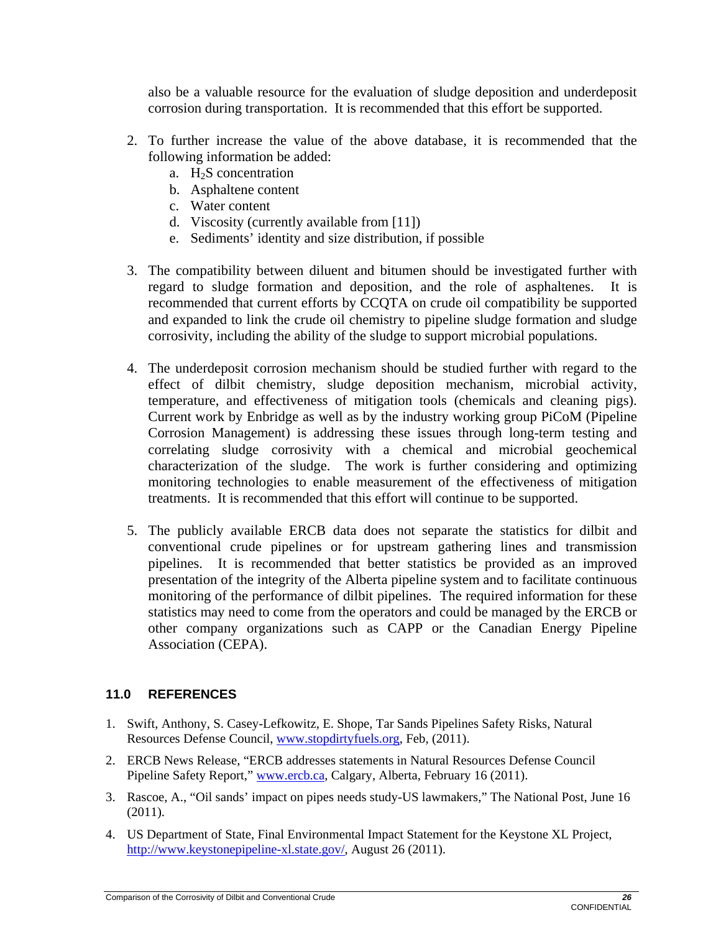also be a valuable resource for the evaluation of sludge deposition and underdeposit corrosion during transportation. It is recommended that this effort be supported.

- 2. To further increase the value of the above database, it is recommended that the following information be added:
	- a.  $H<sub>2</sub>S$  concentration
	- b. Asphaltene content
	- c. Water content
	- d. Viscosity (currently available from [11])
	- e. Sediments' identity and size distribution, if possible
- 3. The compatibility between diluent and bitumen should be investigated further with regard to sludge formation and deposition, and the role of asphaltenes. It is recommended that current efforts by CCQTA on crude oil compatibility be supported and expanded to link the crude oil chemistry to pipeline sludge formation and sludge corrosivity, including the ability of the sludge to support microbial populations.
- 4. The underdeposit corrosion mechanism should be studied further with regard to the effect of dilbit chemistry, sludge deposition mechanism, microbial activity, temperature, and effectiveness of mitigation tools (chemicals and cleaning pigs). Current work by Enbridge as well as by the industry working group PiCoM (Pipeline Corrosion Management) is addressing these issues through long-term testing and correlating sludge corrosivity with a chemical and microbial geochemical characterization of the sludge. The work is further considering and optimizing monitoring technologies to enable measurement of the effectiveness of mitigation treatments. It is recommended that this effort will continue to be supported.
- 5. The publicly available ERCB data does not separate the statistics for dilbit and conventional crude pipelines or for upstream gathering lines and transmission pipelines. It is recommended that better statistics be provided as an improved presentation of the integrity of the Alberta pipeline system and to facilitate continuous monitoring of the performance of dilbit pipelines. The required information for these statistics may need to come from the operators and could be managed by the ERCB or other company organizations such as CAPP or the Canadian Energy Pipeline Association (CEPA).

# **11.0 REFERENCES**

- 1. Swift, Anthony, S. Casey-Lefkowitz, E. Shope, Tar Sands Pipelines Safety Risks, Natural Resources Defense Council, www.stopdirtyfuels.org, Feb, (2011).
- 2. ERCB News Release, "ERCB addresses statements in Natural Resources Defense Council Pipeline Safety Report," www.ercb.ca, Calgary, Alberta, February 16 (2011).
- 3. Rascoe, A., "Oil sands' impact on pipes needs study-US lawmakers," The National Post, June 16 (2011).
- 4. US Department of State, Final Environmental Impact Statement for the Keystone XL Project, http://www.keystonepipeline-xl.state.gov/, August 26 (2011).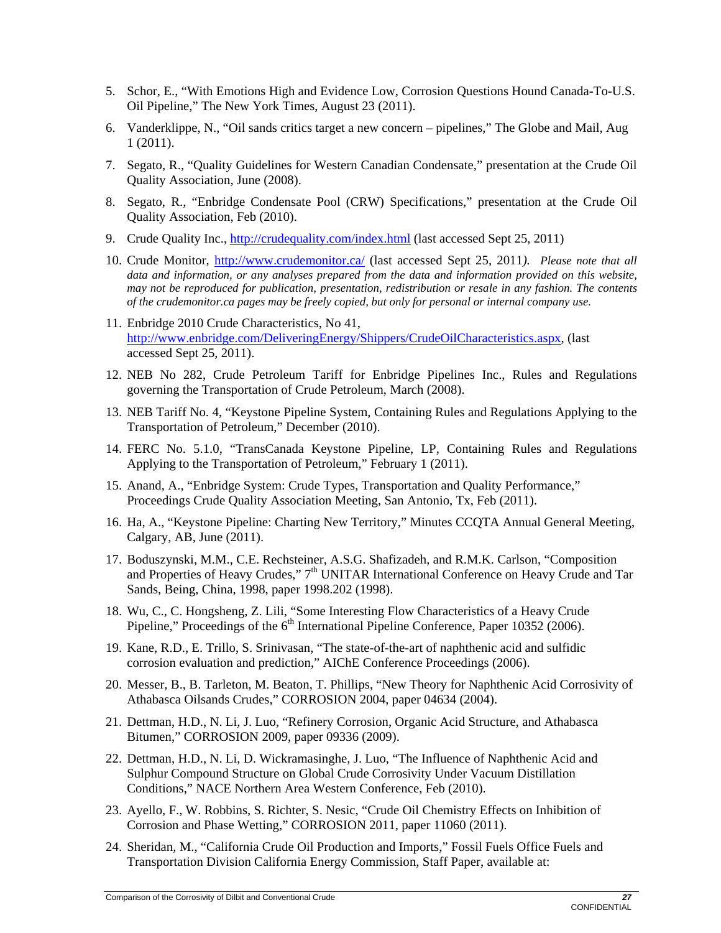- 5. Schor, E., "With Emotions High and Evidence Low, Corrosion Questions Hound Canada-To-U.S. Oil Pipeline," The New York Times, August 23 (2011).
- 6. Vanderklippe, N., "Oil sands critics target a new concern pipelines," The Globe and Mail, Aug 1 (2011).
- 7. Segato, R., "Quality Guidelines for Western Canadian Condensate," presentation at the Crude Oil Quality Association, June (2008).
- 8. Segato, R., "Enbridge Condensate Pool (CRW) Specifications," presentation at the Crude Oil Quality Association, Feb (2010).
- 9. Crude Quality Inc., http://crudequality.com/index.html (last accessed Sept 25, 2011)
- 10. Crude Monitor, http://www.crudemonitor.ca/ (last accessed Sept 25, 2011*). Please note that all data and information, or any analyses prepared from the data and information provided on this website, may not be reproduced for publication, presentation, redistribution or resale in any fashion. The contents of the crudemonitor.ca pages may be freely copied, but only for personal or internal company use.*
- 11. Enbridge 2010 Crude Characteristics, No 41, http://www.enbridge.com/DeliveringEnergy/Shippers/CrudeOilCharacteristics.aspx, (last accessed Sept 25, 2011).
- 12. NEB No 282, Crude Petroleum Tariff for Enbridge Pipelines Inc., Rules and Regulations governing the Transportation of Crude Petroleum, March (2008).
- 13. NEB Tariff No. 4, "Keystone Pipeline System, Containing Rules and Regulations Applying to the Transportation of Petroleum," December (2010).
- 14. FERC No. 5.1.0, "TransCanada Keystone Pipeline, LP, Containing Rules and Regulations Applying to the Transportation of Petroleum," February 1 (2011).
- 15. Anand, A., "Enbridge System: Crude Types, Transportation and Quality Performance," Proceedings Crude Quality Association Meeting, San Antonio, Tx, Feb (2011).
- 16. Ha, A., "Keystone Pipeline: Charting New Territory," Minutes CCQTA Annual General Meeting, Calgary, AB, June (2011).
- 17. Boduszynski, M.M., C.E. Rechsteiner, A.S.G. Shafizadeh, and R.M.K. Carlson, "Composition and Properties of Heavy Crudes," 7<sup>th</sup> UNITAR International Conference on Heavy Crude and Tar Sands, Being, China, 1998, paper 1998.202 (1998).
- 18. Wu, C., C. Hongsheng, Z. Lili, "Some Interesting Flow Characteristics of a Heavy Crude Pipeline," Proceedings of the  $6<sup>th</sup>$  International Pipeline Conference, Paper 10352 (2006).
- 19. Kane, R.D., E. Trillo, S. Srinivasan, "The state-of-the-art of naphthenic acid and sulfidic corrosion evaluation and prediction," AIChE Conference Proceedings (2006).
- 20. Messer, B., B. Tarleton, M. Beaton, T. Phillips, "New Theory for Naphthenic Acid Corrosivity of Athabasca Oilsands Crudes," CORROSION 2004, paper 04634 (2004).
- 21. Dettman, H.D., N. Li, J. Luo, "Refinery Corrosion, Organic Acid Structure, and Athabasca Bitumen," CORROSION 2009, paper 09336 (2009).
- 22. Dettman, H.D., N. Li, D. Wickramasinghe, J. Luo, "The Influence of Naphthenic Acid and Sulphur Compound Structure on Global Crude Corrosivity Under Vacuum Distillation Conditions," NACE Northern Area Western Conference, Feb (2010).
- 23. Ayello, F., W. Robbins, S. Richter, S. Nesic, "Crude Oil Chemistry Effects on Inhibition of Corrosion and Phase Wetting," CORROSION 2011, paper 11060 (2011).
- 24. Sheridan, M., "California Crude Oil Production and Imports," Fossil Fuels Office Fuels and Transportation Division California Energy Commission, Staff Paper, available at: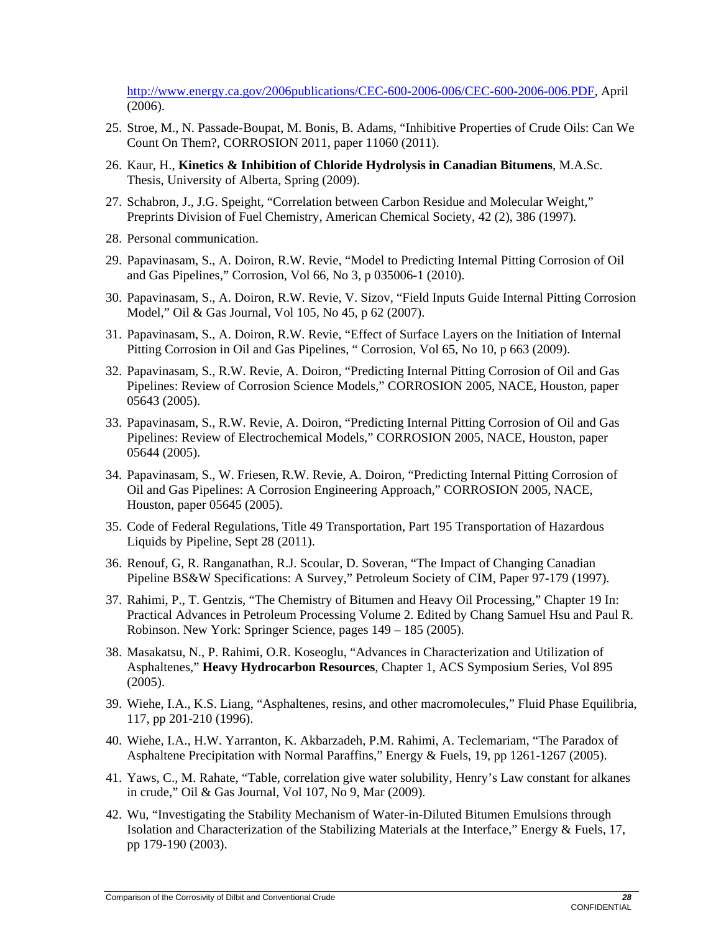http://www.energy.ca.gov/2006publications/CEC-600-2006-006/CEC-600-2006-006.PDF, April (2006).

- 25. Stroe, M., N. Passade-Boupat, M. Bonis, B. Adams, "Inhibitive Properties of Crude Oils: Can We Count On Them?, CORROSION 2011, paper 11060 (2011).
- 26. Kaur, H., **Kinetics & Inhibition of Chloride Hydrolysis in Canadian Bitumens**, M.A.Sc. Thesis, University of Alberta, Spring (2009).
- 27. Schabron, J., J.G. Speight, "Correlation between Carbon Residue and Molecular Weight," Preprints Division of Fuel Chemistry, American Chemical Society, 42 (2), 386 (1997).
- 28. Personal communication.
- 29. Papavinasam, S., A. Doiron, R.W. Revie, "Model to Predicting Internal Pitting Corrosion of Oil and Gas Pipelines," Corrosion, Vol 66, No 3, p 035006-1 (2010).
- 30. Papavinasam, S., A. Doiron, R.W. Revie, V. Sizov, "Field Inputs Guide Internal Pitting Corrosion Model," Oil & Gas Journal, Vol 105, No 45, p 62 (2007).
- 31. Papavinasam, S., A. Doiron, R.W. Revie, "Effect of Surface Layers on the Initiation of Internal Pitting Corrosion in Oil and Gas Pipelines, " Corrosion, Vol 65, No 10, p 663 (2009).
- 32. Papavinasam, S., R.W. Revie, A. Doiron, "Predicting Internal Pitting Corrosion of Oil and Gas Pipelines: Review of Corrosion Science Models," CORROSION 2005, NACE, Houston, paper 05643 (2005).
- 33. Papavinasam, S., R.W. Revie, A. Doiron, "Predicting Internal Pitting Corrosion of Oil and Gas Pipelines: Review of Electrochemical Models," CORROSION 2005, NACE, Houston, paper 05644 (2005).
- 34. Papavinasam, S., W. Friesen, R.W. Revie, A. Doiron, "Predicting Internal Pitting Corrosion of Oil and Gas Pipelines: A Corrosion Engineering Approach," CORROSION 2005, NACE, Houston, paper 05645 (2005).
- 35. Code of Federal Regulations, Title 49 Transportation, Part 195 Transportation of Hazardous Liquids by Pipeline, Sept 28 (2011).
- 36. Renouf, G, R. Ranganathan, R.J. Scoular, D. Soveran, "The Impact of Changing Canadian Pipeline BS&W Specifications: A Survey," Petroleum Society of CIM, Paper 97-179 (1997).
- 37. Rahimi, P., T. Gentzis, "The Chemistry of Bitumen and Heavy Oil Processing," Chapter 19 In: Practical Advances in Petroleum Processing Volume 2. Edited by Chang Samuel Hsu and Paul R. Robinson. New York: Springer Science, pages 149 – 185 (2005).
- 38. Masakatsu, N., P. Rahimi, O.R. Koseoglu, "Advances in Characterization and Utilization of Asphaltenes," **Heavy Hydrocarbon Resources**, Chapter 1, ACS Symposium Series, Vol 895 (2005).
- 39. Wiehe, I.A., K.S. Liang, "Asphaltenes, resins, and other macromolecules," Fluid Phase Equilibria, 117, pp 201-210 (1996).
- 40. Wiehe, I.A., H.W. Yarranton, K. Akbarzadeh, P.M. Rahimi, A. Teclemariam, "The Paradox of Asphaltene Precipitation with Normal Paraffins," Energy & Fuels, 19, pp 1261-1267 (2005).
- 41. Yaws, C., M. Rahate, "Table, correlation give water solubility, Henry's Law constant for alkanes in crude," Oil & Gas Journal, Vol 107, No 9, Mar (2009).
- 42. Wu, "Investigating the Stability Mechanism of Water-in-Diluted Bitumen Emulsions through Isolation and Characterization of the Stabilizing Materials at the Interface," Energy & Fuels, 17, pp 179-190 (2003).